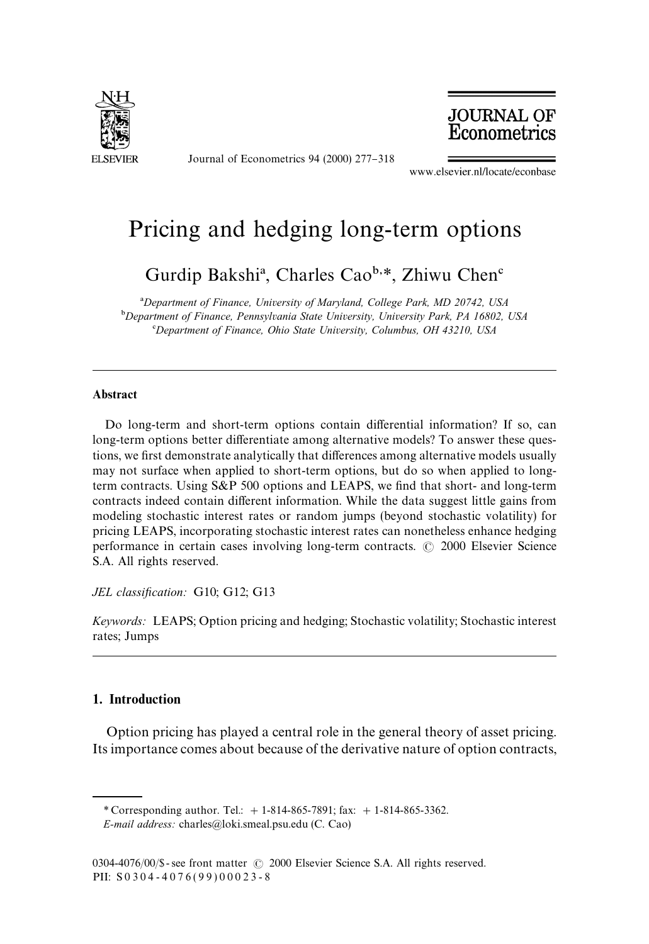

Journal of Econometrics 94 (2000)  $277 - 318$ 



www.elsevier.nl/locate/econbase

# Pricing and hedging long-term options

Gurdip Bakshi<sup>a</sup>, Charles Cao<sup>b,\*</sup>, Zhiwu Chen<sup>c</sup>

!*Department of Finance, University of Maryland, College Park, MD 20742, USA* "*Department of Finance, Pennsylvania State University, University Park, PA 16802, USA* #*Department of Finance, Ohio State University, Columbus, OH 43210, USA*

#### Abstract

Do long-term and short-term options contain differential information? If so, can long-term options better differentiate among alternative models? To answer these questions, we first demonstrate analytically that differences among alternative models usually may not surface when applied to short-term options, but do so when applied to longterm contracts. Using  $S\&P$  500 options and LEAPS, we find that short- and long-term contracts indeed contain different information. While the data suggest little gains from modeling stochastic interest rates or random jumps (beyond stochastic volatility) for pricing LEAPS, incorporating stochastic interest rates can nonetheless enhance hedging performance in certain cases involving long-term contracts.  $\odot$  2000 Elsevier Science S.A. All rights reserved.

*JEL classification:* G10; G12; G13

*Keywords:* LEAPS; Option pricing and hedging; Stochastic volatility; Stochastic interest rates; Jumps

## 1. Introduction

Option pricing has played a central role in the general theory of asset pricing. Its importance comes about because of the derivative nature of option contracts,

*<sup>\*</sup>* Corresponding author. Tel.: #1-814-865-7891; fax: #1-814-865-3362.

*E-mail address:* charles@loki.smeal.psu.edu (C. Cao)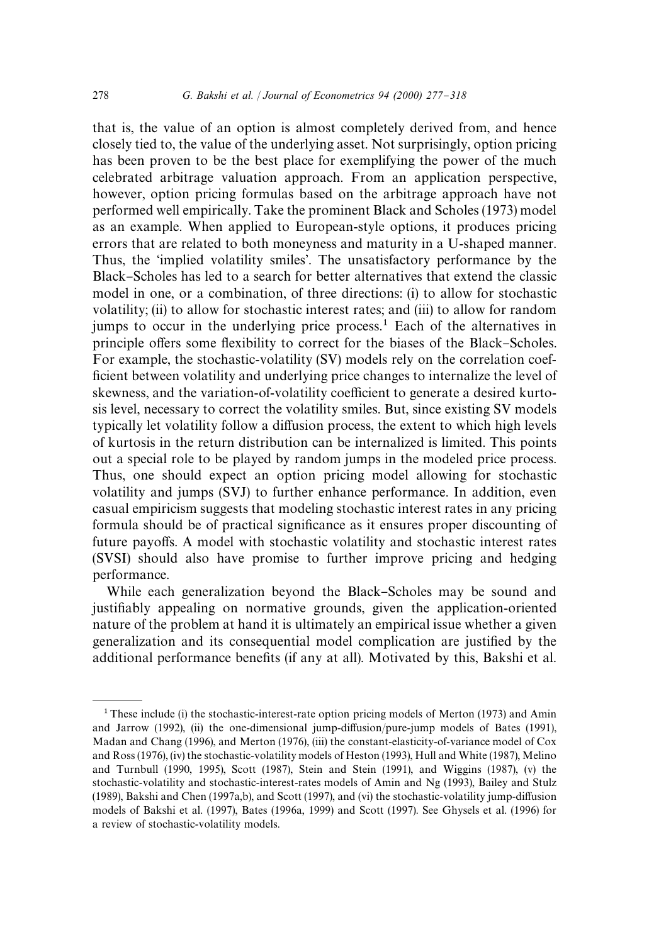that is, the value of an option is almost completely derived from, and hence closely tied to, the value of the underlying asset. Not surprisingly, option pricing has been proven to be the best place for exemplifying the power of the much celebrated arbitrage valuation approach. From an application perspective, however, option pricing formulas based on the arbitrage approach have not performed well empirically. Take the prominent Black and Scholes (1973) model as an example. When applied to European-style options, it produces pricing errors that are related to both moneyness and maturity in a U-shaped manner. Thus, the 'implied volatility smiles'. The unsatisfactory performance by the Black–Scholes has led to a search for better alternatives that extend the classic model in one, or a combination, of three directions: (i) to allow for stochastic volatility; (ii) to allow for stochastic interest rates; and (iii) to allow for random jumps to occur in the underlying price process.<sup>1</sup> Each of the alternatives in principle offers some flexibility to correct for the biases of the Black-Scholes. For example, the stochastic-volatility (SV) models rely on the correlation coef ficient between volatility and underlying price changes to internalize the level of skewness, and the variation-of-volatility coefficient to generate a desired kurtosis level, necessary to correct the volatility smiles. But, since existing SV models typically let volatility follow a diffusion process, the extent to which high levels of kurtosis in the return distribution can be internalized is limited. This points out a special role to be played by random jumps in the modeled price process. Thus, one should expect an option pricing model allowing for stochastic volatility and jumps (SVJ) to further enhance performance. In addition, even casual empiricism suggests that modeling stochastic interest rates in any pricing formula should be of practical significance as it ensures proper discounting of future payoffs. A model with stochastic volatility and stochastic interest rates (SVSI) should also have promise to further improve pricing and hedging performance.

While each generalization beyond the Black-Scholes may be sound and justifiably appealing on normative grounds, given the application-oriented nature of the problem at hand it is ultimately an empirical issue whether a given generalization and its consequential model complication are justified by the additional performance benefits (if any at all). Motivated by this, Bakshi et al.

<sup>&</sup>lt;sup>1</sup> These include (i) the stochastic-interest-rate option pricing models of Merton (1973) and Amin and Jarrow (1992), (ii) the one-dimensional jump-diffusion/pure-jump models of Bates (1991), Madan and Chang (1996), and Merton (1976), (iii) the constant-elasticity-of-variance model of Cox and Ross (1976), (iv) the stochastic-volatility models of Heston (1993), Hull and White (1987), Melino and Turnbull (1990, 1995), Scott (1987), Stein and Stein (1991), and Wiggins (1987), (v) the stochastic-volatility and stochastic-interest-rates models of Amin and Ng (1993), Bailey and Stulz  $(1989)$ , Bakshi and Chen  $(1997a,b)$ , and Scott  $(1997)$ , and  $(vi)$  the stochastic-volatility jump-diffusion models of Bakshi et al. (1997), Bates (1996a, 1999) and Scott (1997). See Ghysels et al. (1996) for a review of stochastic-volatility models.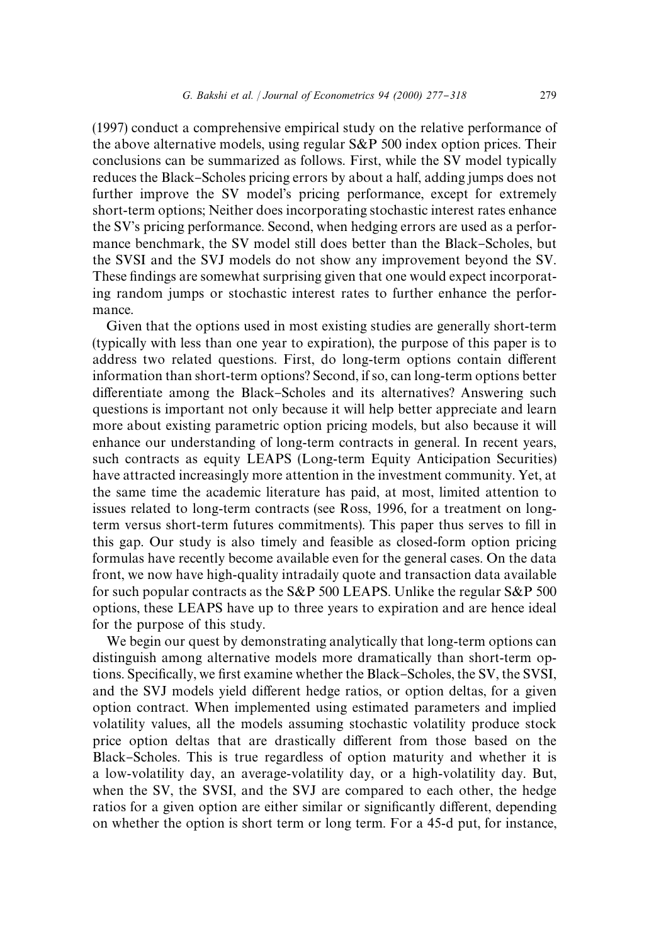(1997) conduct a comprehensive empirical study on the relative performance of the above alternative models, using regular S&P 500 index option prices. Their conclusions can be summarized as follows. First, while the SV model typically reduces the Black–Scholes pricing errors by about a half, adding jumps does not further improve the SV model's pricing performance, except for extremely short-term options; Neither does incorporating stochastic interest rates enhance the SV's pricing performance. Second, when hedging errors are used as a performance benchmark, the SV model still does better than the Black-Scholes, but the SVSI and the SVJ models do not show any improvement beyond the SV. These findings are somewhat surprising given that one would expect incorporating random jumps or stochastic interest rates to further enhance the performance.

Given that the options used in most existing studies are generally short-term (typically with less than one year to expiration), the purpose of this paper is to address two related questions. First, do long-term options contain different information than short-term options? Second, if so, can long-term options better differentiate among the Black-Scholes and its alternatives? Answering such questions is important not only because it will help better appreciate and learn more about existing parametric option pricing models, but also because it will enhance our understanding of long-term contracts in general. In recent years, such contracts as equity LEAPS (Long-term Equity Anticipation Securities) have attracted increasingly more attention in the investment community. Yet, at the same time the academic literature has paid, at most, limited attention to issues related to long-term contracts (see Ross, 1996, for a treatment on longterm versus short-term futures commitments). This paper thus serves to fill in this gap. Our study is also timely and feasible as closed-form option pricing formulas have recently become available even for the general cases. On the data front, we now have high-quality intradaily quote and transaction data available for such popular contracts as the S&P 500 LEAPS. Unlike the regular S&P 500 options, these LEAPS have up to three years to expiration and are hence ideal for the purpose of this study.

We begin our quest by demonstrating analytically that long-term options can distinguish among alternative models more dramatically than short-term options. Specifically, we first examine whether the Black–Scholes, the SV, the SVSI, and the SVJ models yield different hedge ratios, or option deltas, for a given option contract. When implemented using estimated parameters and implied volatility values, all the models assuming stochastic volatility produce stock price option deltas that are drastically different from those based on the Black-Scholes. This is true regardless of option maturity and whether it is a low-volatility day, an average-volatility day, or a high-volatility day. But, when the SV, the SVSI, and the SVJ are compared to each other, the hedge ratios for a given option are either similar or significantly different, depending on whether the option is short term or long term. For a 45-d put, for instance,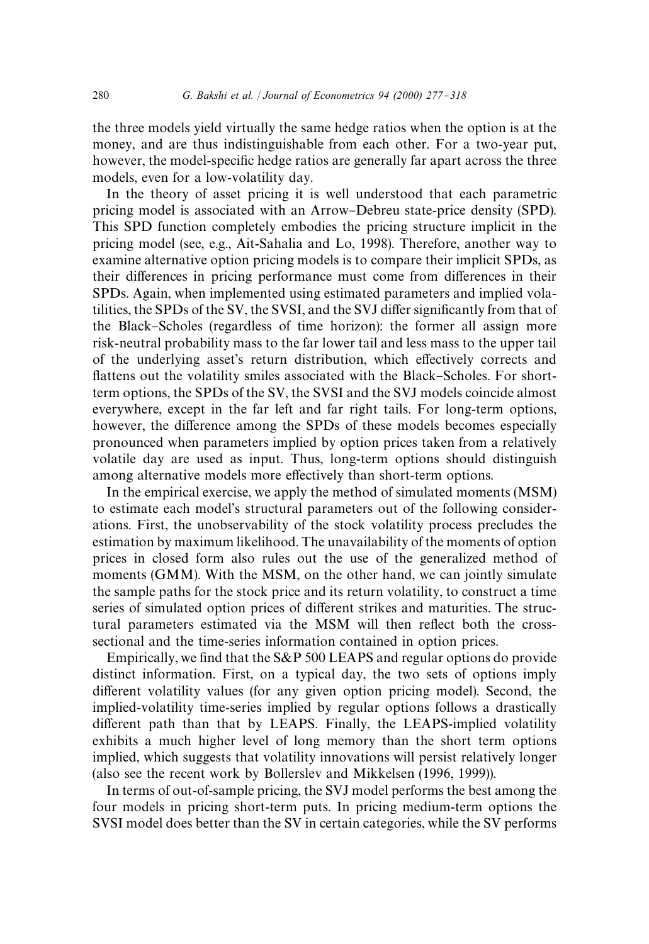the three models yield virtually the same hedge ratios when the option is at the money, and are thus indistinguishable from each other. For a two-year put, however, the model-specific hedge ratios are generally far apart across the three models, even for a low-volatility day.

In the theory of asset pricing it is well understood that each parametric pricing model is associated with an Arrow-Debreu state-price density (SPD). This SPD function completely embodies the pricing structure implicit in the pricing model (see, e.g., Ait-Sahalia and Lo, 1998). Therefore, another way to examine alternative option pricing models is to compare their implicit SPDs, as their differences in pricing performance must come from differences in their SPDs. Again, when implemented using estimated parameters and implied volatilities, the SPDs of the SV, the SVSI, and the SVJ differ significantly from that of the Black–Scholes (regardless of time horizon): the former all assign more risk-neutral probability mass to the far lower tail and less mass to the upper tail of the underlying asset's return distribution, which effectively corrects and flattens out the volatility smiles associated with the Black-Scholes. For shortterm options, the SPDs of the SV, the SVSI and the SVJ models coincide almost everywhere, except in the far left and far right tails. For long-term options, however, the difference among the SPDs of these models becomes especially pronounced when parameters implied by option prices taken from a relatively volatile day are used as input. Thus, long-term options should distinguish among alternative models more effectively than short-term options.

In the empirical exercise, we apply the method of simulated moments (MSM) to estimate each model's structural parameters out of the following considerations. First, the unobservability of the stock volatility process precludes the estimation by maximum likelihood. The unavailability of the moments of option prices in closed form also rules out the use of the generalized method of moments (GMM). With the MSM, on the other hand, we can jointly simulate the sample paths for the stock price and its return volatility, to construct a time series of simulated option prices of different strikes and maturities. The structural parameters estimated via the MSM will then reflect both the crosssectional and the time-series information contained in option prices.

Empirically, we find that the  $S\&P 500$  LEAPS and regular options do provide distinct information. First, on a typical day, the two sets of options imply different volatility values (for any given option pricing model). Second, the implied-volatility time-series implied by regular options follows a drastically different path than that by LEAPS. Finally, the LEAPS-implied volatility exhibits a much higher level of long memory than the short term options implied, which suggests that volatility innovations will persist relatively longer (also see the recent work by Bollerslev and Mikkelsen (1996, 1999)).

In terms of out-of-sample pricing, the SVJ model performs the best among the four models in pricing short-term puts. In pricing medium-term options the SVSI model does better than the SV in certain categories, while the SV performs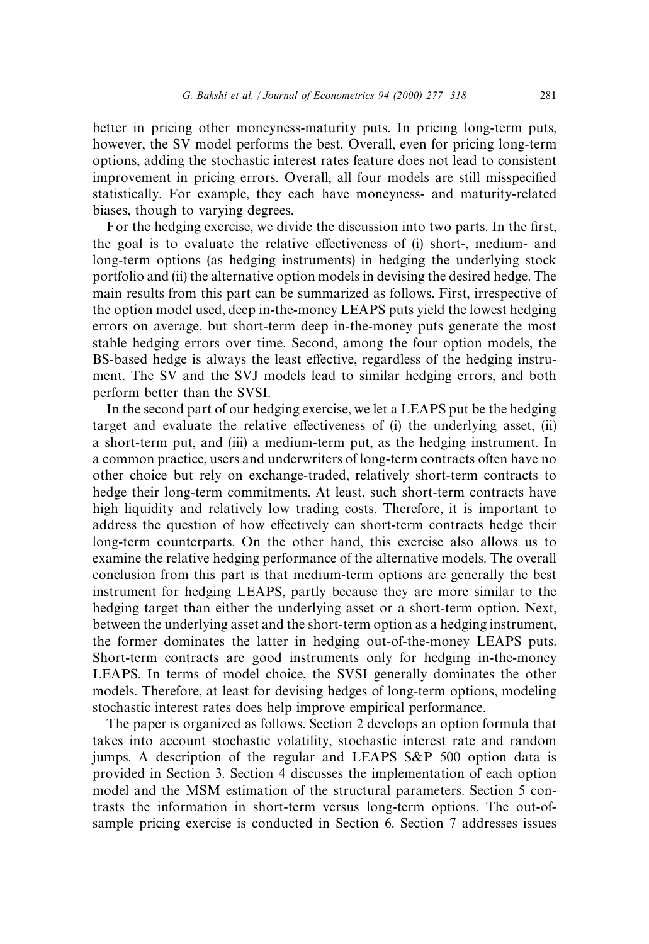better in pricing other moneyness-maturity puts. In pricing long-term puts, however, the SV model performs the best. Overall, even for pricing long-term options, adding the stochastic interest rates feature does not lead to consistent improvement in pricing errors. Overall, all four models are still misspecified statistically. For example, they each have moneyness- and maturity-related biases, though to varying degrees.

For the hedging exercise, we divide the discussion into two parts. In the first, the goal is to evaluate the relative effectiveness of  $(i)$  short-, medium- and long-term options (as hedging instruments) in hedging the underlying stock portfolio and (ii) the alternative option models in devising the desired hedge. The main results from this part can be summarized as follows. First, irrespective of the option model used, deep in-the-money LEAPS puts yield the lowest hedging errors on average, but short-term deep in-the-money puts generate the most stable hedging errors over time. Second, among the four option models, the BS-based hedge is always the least effective, regardless of the hedging instrument. The SV and the SVJ models lead to similar hedging errors, and both perform better than the SVSI.

In the second part of our hedging exercise, we let a LEAPS put be the hedging target and evaluate the relative effectiveness of (i) the underlying asset, (ii) a short-term put, and (iii) a medium-term put, as the hedging instrument. In a common practice, users and underwriters of long-term contracts often have no other choice but rely on exchange-traded, relatively short-term contracts to hedge their long-term commitments. At least, such short-term contracts have high liquidity and relatively low trading costs. Therefore, it is important to address the question of how effectively can short-term contracts hedge their long-term counterparts. On the other hand, this exercise also allows us to examine the relative hedging performance of the alternative models. The overall conclusion from this part is that medium-term options are generally the best instrument for hedging LEAPS, partly because they are more similar to the hedging target than either the underlying asset or a short-term option. Next, between the underlying asset and the short-term option as a hedging instrument, the former dominates the latter in hedging out-of-the-money LEAPS puts. Short-term contracts are good instruments only for hedging in-the-money LEAPS. In terms of model choice, the SVSI generally dominates the other models. Therefore, at least for devising hedges of long-term options, modeling stochastic interest rates does help improve empirical performance.

The paper is organized as follows. Section 2 develops an option formula that takes into account stochastic volatility, stochastic interest rate and random jumps. A description of the regular and LEAPS S&P 500 option data is provided in Section 3. Section 4 discusses the implementation of each option model and the MSM estimation of the structural parameters. Section  $5 \text{ con}$ trasts the information in short-term versus long-term options. The out-ofsample pricing exercise is conducted in Section 6. Section 7 addresses issues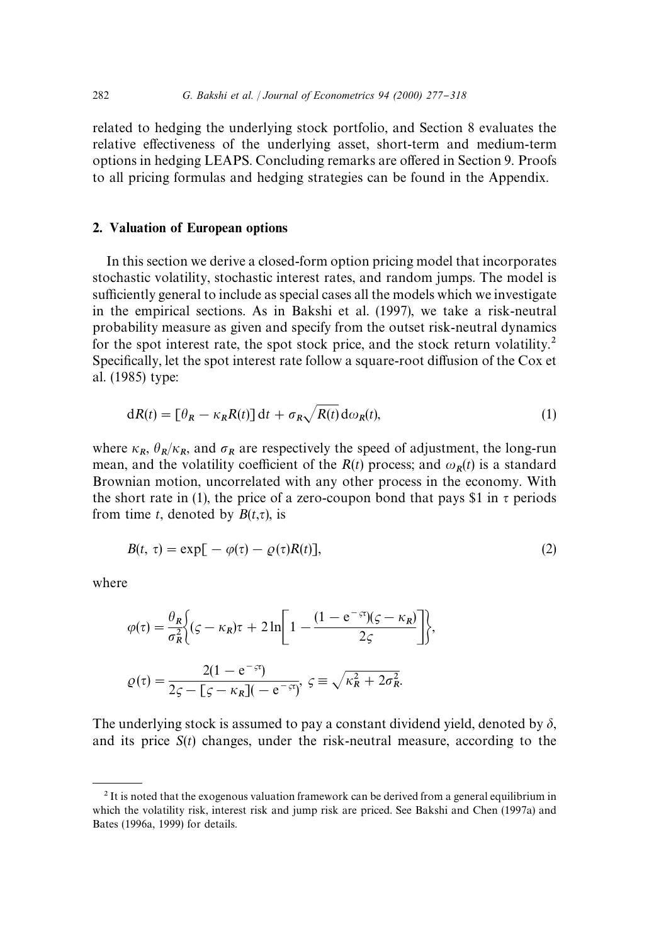related to hedging the underlying stock portfolio, and Section 8 evaluates the relative effectiveness of the underlying asset, short-term and medium-term options in hedging LEAPS. Concluding remarks are offered in Section 9. Proofs to all pricing formulas and hedging strategies can be found in the Appendix.

#### 2. Valuation of European options

In this section we derive a closed-form option pricing model that incorporates stochastic volatility, stochastic interest rates, and random jumps. The model is sufficiently general to include as special cases all the models which we investigate in the empirical sections. As in Bakshi et al. (1997), we take a risk-neutral probability measure as given and specify from the outset risk-neutral dynamics for the spot interest rate, the spot stock price, and the stock return volatility.<sup>2</sup> Specifically, let the spot interest rate follow a square-root diffusion of the Cox et al. (1985) type:

$$
dR(t) = \left[\theta_R - \kappa_R R(t)\right]dt + \sigma_R \sqrt{R(t)} d\omega_R(t),\tag{1}
$$

where  $\kappa_R$ ,  $\theta_R/\kappa_R$ , and  $\sigma_R$  are respectively the speed of adjustment, the long-run mean, and the volatility coefficient of the *R*(*t*) process; and  $\omega_R(t)$  is a standard Brownian motion, uncorrelated with any other process in the economy. With the short rate in (1), the price of a zero-coupon bond that pays \$1 in  $\tau$  periods from time *t*, denoted by  $B(t,\tau)$ , is

$$
B(t, \tau) = \exp[-\varphi(\tau) - \varrho(\tau)R(t)], \qquad (2)
$$

where

$$
\varphi(\tau) = \frac{\theta_R}{\sigma_R^2} \Biggl\{ (\zeta - \kappa_R) \tau + 2 \ln \Biggl[ 1 - \frac{(1 - e^{-\zeta \tau})(\zeta - \kappa_R)}{2\zeta} \Biggr] \Biggr\},
$$
  

$$
\varrho(\tau) = \frac{2(1 - e^{-\zeta \tau})}{2\zeta - \zeta - \zeta - \kappa_R \zeta - e^{-\zeta \tau}} , \ \zeta \equiv \sqrt{\kappa_R^2 + 2\sigma_R^2}.
$$

The underlying stock is assumed to pay a constant dividend yield, denoted by  $\delta$ , and its price *S*(*t*) changes, under the risk-neutral measure, according to the

<sup>2</sup> It is noted that the exogenous valuation framework can be derived from a general equilibrium in which the volatility risk, interest risk and jump risk are priced. See Bakshi and Chen (1997a) and Bates (1996a, 1999) for details.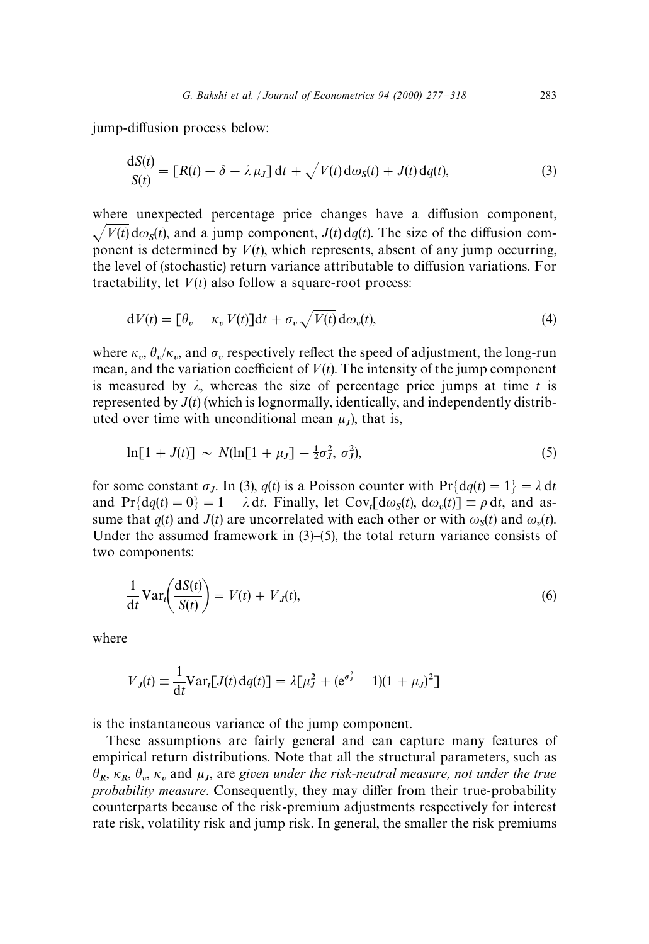jump-diffusion process below:

$$
\frac{dS(t)}{S(t)} = [R(t) - \delta - \lambda \mu_J] dt + \sqrt{V(t)} d\omega_S(t) + J(t) dq(t),
$$
\n(3)

where unexpected percentage price changes have a diffusion component,  $\sqrt{V(t)} \, d\omega_s(t)$ , and a jump component,  $J(t) \, dq(t)$ . The size of the diffusion component is determined by  $V(t)$ , which represents, absent of any jump occurring, the level of (stochastic) return variance attributable to diffusion variations. For tractability, let  $V(t)$  also follow a square-root process:

$$
dV(t) = [\theta_v - \kappa_v V(t)]dt + \sigma_v \sqrt{V(t)} d\omega_v(t), \qquad (4)
$$

where  $\kappa_v$ ,  $\theta_v/\kappa_v$ , and  $\sigma_v$  respectively reflect the speed of adjustment, the long-run mean, and the variation coefficient of  $V(t)$ . The intensity of the jump component is measured by  $\lambda$ , whereas the size of percentage price jumps at time *t* is represented by *J*(*t*) (which is lognormally, identically, and independently distributed over time with unconditional mean  $\mu_J$ ), that is,

$$
\ln[1 + J(t)] \sim N(\ln[1 + \mu_J] - \frac{1}{2}\sigma_J^2, \sigma_J^2), \tag{5}
$$

for some constant  $\sigma_J$ . In (3),  $q(t)$  is a Poisson counter with Pr{d $q(t) = 1$ } =  $\lambda$  dt and  $Pr{dq(t) = 0} = 1 - \lambda dt$ . Finally, let  $Cov_t[d\omega_s(t), d\omega_v(t)] \equiv \rho dt$ , and assume that  $q(t)$  and  $J(t)$  are uncorrelated with each other or with  $\omega_s(t)$  and  $\omega_v(t)$ . Under the assumed framework in  $(3)-(5)$ , the total return variance consists of two components:

$$
\frac{1}{dt} \text{Var}_t \bigg( \frac{dS(t)}{S(t)} \bigg) = V(t) + V_J(t),\tag{6}
$$

where

$$
V_J(t) \equiv \frac{1}{dt} \text{Var}_t[J(t) \, \text{d}q(t)] = \lambda [\mu J + (e^{\sigma J} - 1)(1 + \mu J)^2]
$$

is the instantaneous variance of the jump component.

These assumptions are fairly general and can capture many features of empirical return distributions. Note that all the structural parameters, such as  $\theta_R$ ,  $\kappa_R$ ,  $\theta_v$ ,  $\kappa_v$  and  $\mu_J$ , are given under the risk-neutral measure, not under the true *probability measure*. Consequently, they may differ from their true-probability counterparts because of the risk-premium adjustments respectively for interest rate risk, volatility risk and jump risk. In general, the smaller the risk premiums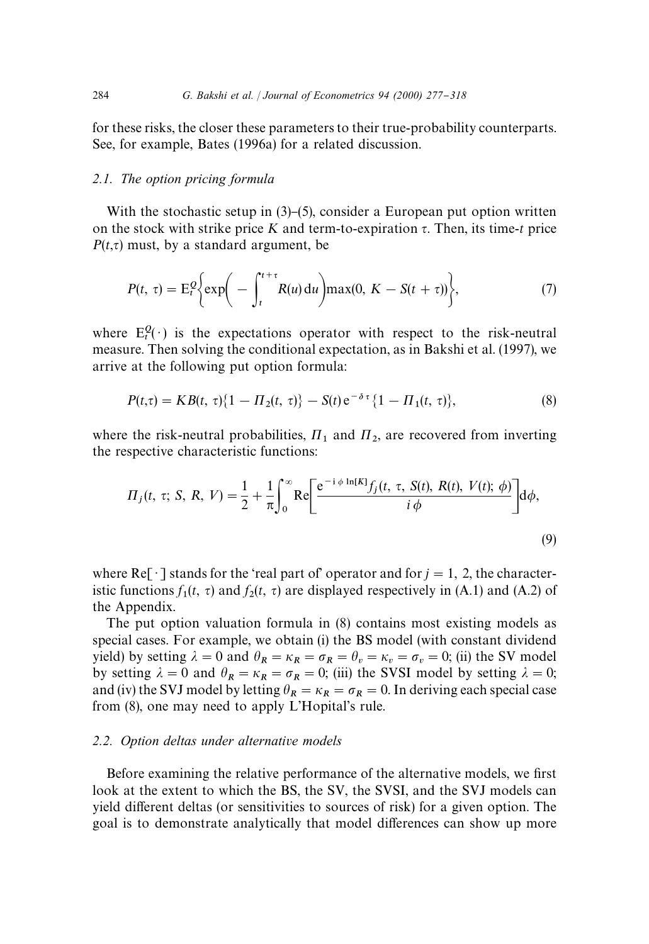for these risks, the closer these parameters to their true-probability counterparts. See, for example, Bates (1996a) for a related discussion.

## *2.1. The option pricing formula*

With the stochastic setup in  $(3)-(5)$ , consider a European put option written on the stock with strike price K and term-to-expiration  $\tau$ . Then, its time-t price  $P(t,\tau)$  must, by a standard argument, be

$$
P(t, \tau) = \mathcal{E}_t^Q \bigg\{ \exp\bigg(-\int_t^{t+\tau} R(u) \, \mathrm{d}u \bigg) \max(0, \, K - S(t+\tau)) \bigg\},\tag{7}
$$

where  $E_t^Q(\cdot)$  is the expectations operator with respect to the risk-neutral measure. Then solving the conditional expectation, as in Bakshi et al. (1997), we arrive at the following put option formula:

$$
P(t,\tau) = KB(t, \tau)\{1 - \Pi_2(t, \tau)\} - S(t) e^{-\delta \tau} \{1 - \Pi_1(t, \tau)\},
$$
\n(8)

where the risk-neutral probabilities,  $\Pi_1$  and  $\Pi_2$ , are recovered from inverting the respective characteristic functions:

$$
\Pi_j(t, \tau; S, R, V) = \frac{1}{2} + \frac{1}{\pi} \int_0^\infty \text{Re} \left[ \frac{e^{-i \phi \ln[K]} f_j(t, \tau, S(t), R(t), V(t); \phi)}{i \phi} \right] d\phi,
$$
\n(9)

where  $\text{Re}[\cdot]$  stands for the 'real part of' operator and for  $j = 1, 2$ , the characteristic functions  $f_1(t, \tau)$  and  $f_2(t, \tau)$  are displayed respectively in (A.1) and (A.2) of the Appendix.

The put option valuation formula in (8) contains most existing models as special cases. For example, we obtain (i) the BS model (with constant dividend yield) by setting  $\lambda = 0$  and  $\theta_R = \kappa_R = \sigma_R = \theta_v = \kappa_v = \sigma_v = 0$ ; (ii) the SV model by setting  $\lambda = 0$  and  $\theta_R = \kappa_R = \sigma_R = 0$ ; (iii) the SVSI model by setting  $\lambda = 0$ ; and (iv) the SVJ model by letting  $\theta_R = \kappa_R = \sigma_R = 0$ . In deriving each special case from (8), one may need to apply L'Hopital's rule.

#### *2.2. Option deltas under alternative models*

Before examining the relative performance of the alternative models, we first look at the extent to which the BS, the SV, the SVSI, and the SVJ models can yield different deltas (or sensitivities to sources of risk) for a given option. The goal is to demonstrate analytically that model differences can show up more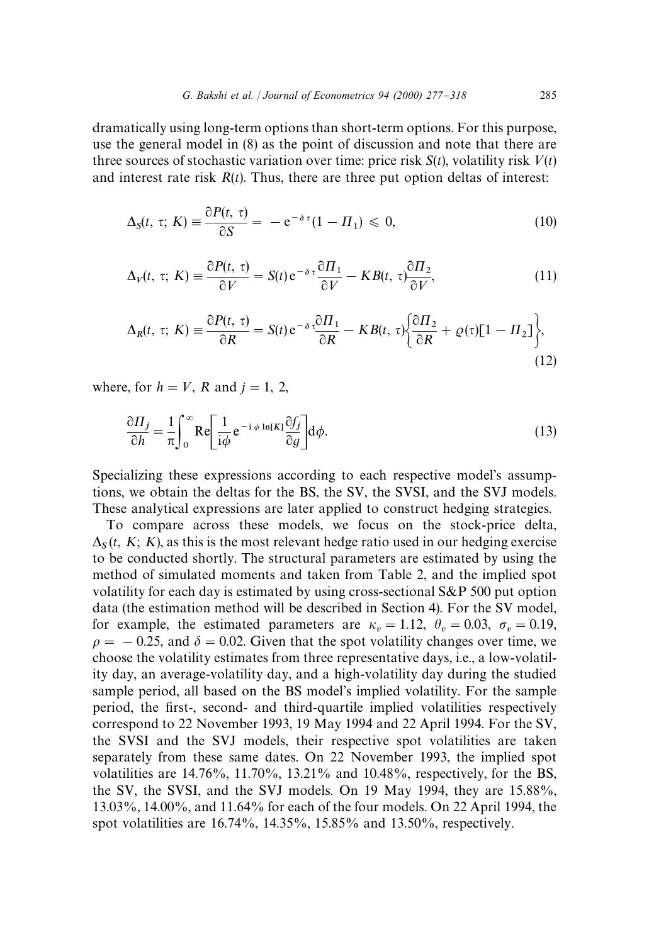dramatically using long-term options than short-term options. For this purpose, use the general model in (8) as the point of discussion and note that there are three sources of stochastic variation over time: price risk  $S(t)$ , volatility risk  $V(t)$ and interest rate risk  $R(t)$ . Thus, there are three put option deltas of interest:

$$
\Delta_{\mathcal{S}}(t, \tau; K) \equiv \frac{\partial P(t, \tau)}{\partial S} = -e^{-\delta \tau} (1 - \Pi_1) \leq 0,
$$
\n(10)

$$
\Delta_V(t, \tau; K) \equiv \frac{\partial P(t, \tau)}{\partial V} = S(t) e^{-\delta \tau} \frac{\partial H_1}{\partial V} - K B(t, \tau) \frac{\partial H_2}{\partial V},\tag{11}
$$

$$
\Delta_R(t, \tau; K) \equiv \frac{\partial P(t, \tau)}{\partial R} = S(t) e^{-\delta \tau} \frac{\partial H_1}{\partial R} - K B(t, \tau) \left\{ \frac{\partial H_2}{\partial R} + \varrho(\tau) [1 - H_2] \right\},\tag{12}
$$

where, for  $h = V$ , R and  $j = 1, 2$ ,

$$
\frac{\partial \Pi_j}{\partial h} = \frac{1}{\pi} \int_0^\infty \text{Re} \left[ \frac{1}{i\phi} e^{-i\phi \ln[K]} \frac{\partial f_j}{\partial g} \right] d\phi. \tag{13}
$$

Specializing these expressions according to each respective model's assumptions, we obtain the deltas for the BS, the SV, the SVSI, and the SVJ models. These analytical expressions are later applied to construct hedging strategies.

To compare across these models, we focus on the stock-price delta,  $\Delta_{S}(t, K; K)$ , as this is the most relevant hedge ratio used in our hedging exercise to be conducted shortly. The structural parameters are estimated by using the method of simulated moments and taken from Table 2, and the implied spot volatility for each day is estimated by using cross-sectional S&P 500 put option data (the estimation method will be described in Section 4). For the SV model, for example, the estimated parameters are  $\kappa_v = 1.12, \ \theta_v = 0.03, \ \sigma_v = 0.19,$  $\rho = -0.25$ , and  $\delta = 0.02$ . Given that the spot volatility changes over time, we choose the volatility estimates from three representative days, i.e., a low-volatility day, an average-volatility day, and a high-volatility day during the studied sample period, all based on the BS model's implied volatility. For the sample period, the first-, second- and third-quartile implied volatilities respectively correspond to 22 November 1993, 19 May 1994 and 22 April 1994. For the SV, the SVSI and the SVJ models, their respective spot volatilities are taken separately from these same dates. On 22 November 1993, the implied spot volatilities are 14.76%, 11.70%, 13.21% and 10.48%, respectively, for the BS, the SV, the SVSI, and the SVJ models. On 19 May 1994, they are 15.88%, 13.03%, 14.00%, and 11.64% for each of the four models. On 22 April 1994, the spot volatilities are 16.74%, 14.35%, 15.85% and 13.50%, respectively.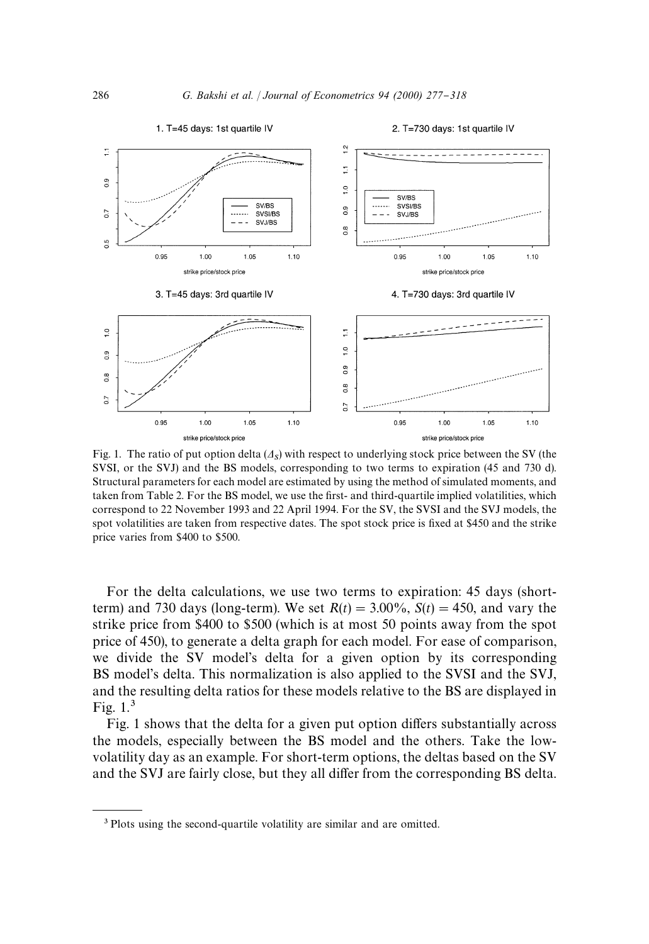

Fig. 1. The ratio of put option delta  $(\Lambda_s)$  with respect to underlying stock price between the SV (the SVSI, or the SVJ) and the BS models, corresponding to two terms to expiration (45 and 730 d). Structural parameters for each model are estimated by using the method of simulated moments, and taken from Table 2. For the BS model, we use the first- and third-quartile implied volatilities, which correspond to 22 November 1993 and 22 April 1994. For the SV, the SVSI and the SVJ models, the spot volatilities are taken from respective dates. The spot stock price is fixed at \$450 and the strike price varies from \$400 to \$500.

For the delta calculations, we use two terms to expiration: 45 days (shortterm) and 730 days (long-term). We set  $R(t) = 3.00\%$ ,  $S(t) = 450$ , and vary the strike price from \$400 to \$500 (which is at most 50 points away from the spot price of 450), to generate a delta graph for each model. For ease of comparison, we divide the SV model's delta for a given option by its corresponding BS model's delta. This normalization is also applied to the SVSI and the SVJ, and the resulting delta ratios for these models relative to the BS are displayed in Fig.  $1<sup>3</sup>$ 

Fig. 1 shows that the delta for a given put option differs substantially across the models, especially between the BS model and the others. Take the lowvolatility day as an example. For short-term options, the deltas based on the SV and the SVJ are fairly close, but they all differ from the corresponding BS delta.

<sup>&</sup>lt;sup>3</sup> Plots using the second-quartile volatility are similar and are omitted.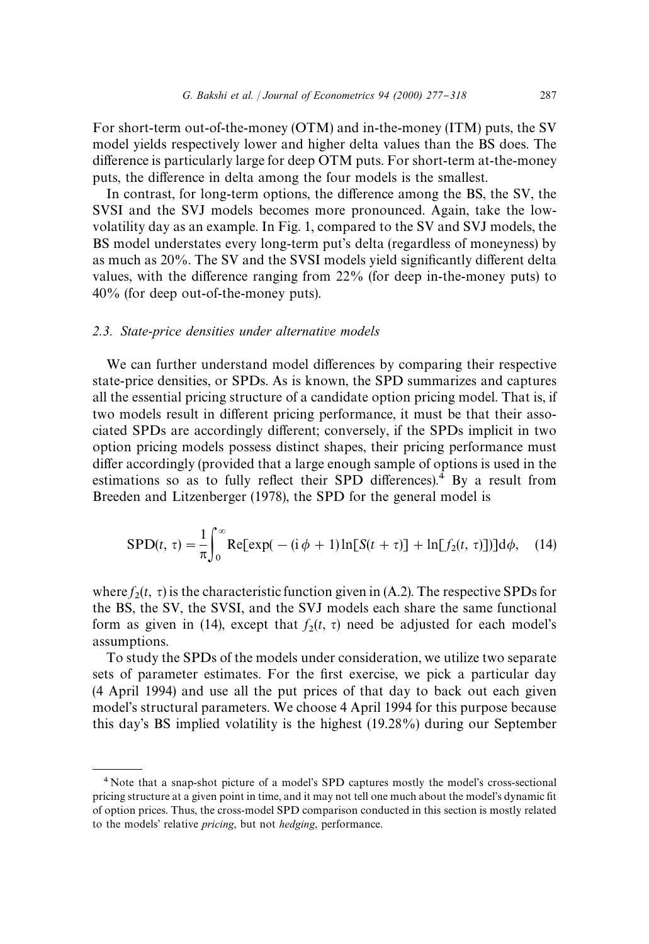For short-term out-of-the-money (OTM) and in-the-money (ITM) puts, the SV model yields respectively lower and higher delta values than the BS does. The difference is particularly large for deep OTM puts. For short-term at-the-money puts, the difference in delta among the four models is the smallest.

In contrast, for long-term options, the difference among the BS, the SV, the SVSI and the SVJ models becomes more pronounced. Again, take the lowvolatility day as an example. In Fig. 1, compared to the SV and SVJ models, the BS model understates every long-term put's delta (regardless of moneyness) by as much as 20%. The SV and the SVSI models yield significantly different delta values, with the difference ranging from  $22\%$  (for deep in-the-money puts) to 40% (for deep out-of-the-money puts).

#### *2.3. State-price densities under alternative models*

We can further understand model differences by comparing their respective state-price densities, or SPDs. As is known, the SPD summarizes and captures all the essential pricing structure of a candidate option pricing model. That is, if two models result in different pricing performance, it must be that their associated SPDs are accordingly different; conversely, if the SPDs implicit in two option pricing models possess distinct shapes, their pricing performance must differ accordingly (provided that a large enough sample of options is used in the estimations so as to fully reflect their SPD differences).<sup>4</sup> By a result from Breeden and Litzenberger (1978), the SPD for the general model is

$$
SPD(t, \tau) = \frac{1}{\pi} \int_0^{\infty} \text{Re}[\exp(-(i \phi + 1) \ln[S(t + \tau)] + \ln[f_2(t, \tau)])] d\phi, \quad (14)
$$

where  $f_2(t, \tau)$  is the characteristic function given in (A.2). The respective SPDs for the BS, the SV, the SVSI, and the SVJ models each share the same functional form as given in (14), except that  $f_2(t, \tau)$  need be adjusted for each model's assumptions.

To study the SPDs of the models under consideration, we utilize two separate sets of parameter estimates. For the first exercise, we pick a particular day (4 April 1994) and use all the put prices of that day to back out each given model's structural parameters. We choose 4 April 1994 for this purpose because this day's BS implied volatility is the highest (19.28%) during our September

<sup>4</sup> Note that a snap-shot picture of a model's SPD captures mostly the model's cross-sectional pricing structure at a given point in time, and it may not tell one much about the model's dynamic fit of option prices. Thus, the cross-model SPD comparison conducted in this section is mostly related to the models' relative *pricing*, but not *hedging*, performance.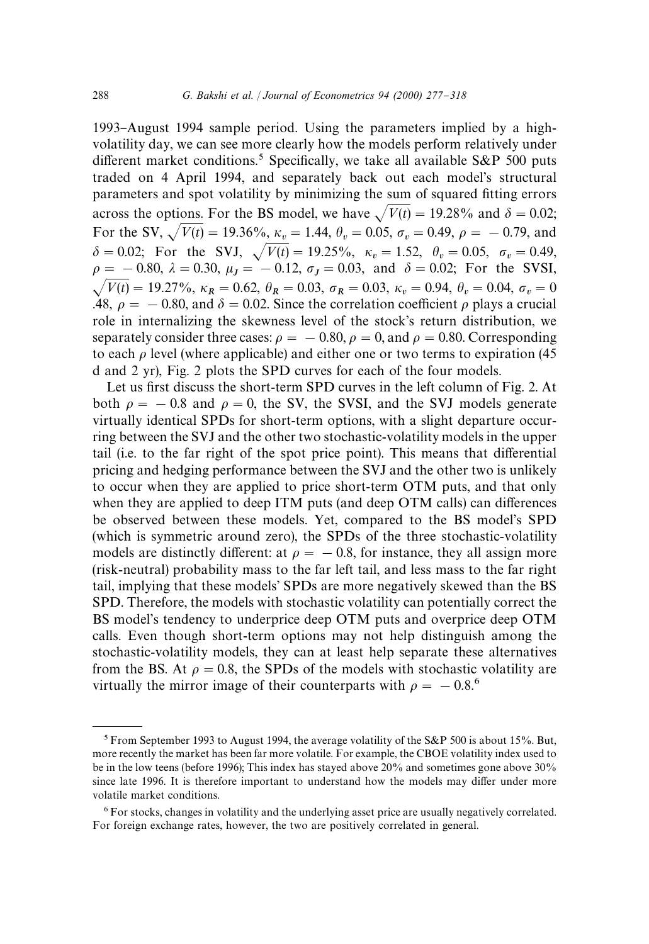1993–August 1994 sample period. Using the parameters implied by a highvolatility day, we can see more clearly how the models perform relatively under different market conditions.<sup>5</sup> Specifically, we take all available S&P 500 puts traded on 4 April 1994, and separately back out each model's structural parameters and spot volatility by minimizing the sum of squared fitting errors across the options. For the BS model, we have  $\sqrt{V(t)} = 19.28\%$  and  $\delta = 0.02$ ; For the SV,  $\sqrt{V(t)} = 19.36\%, \kappa_v = 1.44, \theta_v = 0.05, \sigma_v = 0.49, \rho = -0.79$ , and  $\delta = 0.02$ ; For the SVJ,  $\sqrt{V(t)} = 19.25\%$ ,  $\kappa_v = 1.52$ ,  $\theta_v = 0.05$ ,  $\sigma_v = 0.49$ ,  $\rho = -0.80, \lambda = 0.30, \mu_J = -0.12, \sigma_J = 0.03, \text{ and } \delta = 0.02; \text{ For the SVSI},$  $\sqrt{V(t)} = 19.27\%, \ \kappa_R = 0.62, \ \theta_R = 0.03, \ \sigma_R = 0.03, \ \kappa_v = 0.94, \ \theta_v = 0.04, \ \sigma_v = 0$ .48,  $\rho = -0.80$ , and  $\delta = 0.02$ . Since the correlation coefficient  $\rho$  plays a crucial role in internalizing the skewness level of the stock's return distribution, we separately consider three cases:  $\rho = -0.80$ ,  $\rho = 0$ , and  $\rho = 0.80$ . Corresponding to each  $\rho$  level (where applicable) and either one or two terms to expiration (45) d and 2 yr), Fig. 2 plots the SPD curves for each of the four models.

Let us first discuss the short-term SPD curves in the left column of Fig. 2. At both  $\rho = -0.8$  and  $\rho = 0$ , the SV, the SVSI, and the SVJ models generate virtually identical SPDs for short-term options, with a slight departure occurring between the SVJ and the other two stochastic-volatility models in the upper tail (i.e. to the far right of the spot price point). This means that differential pricing and hedging performance between the SVJ and the other two is unlikely to occur when they are applied to price short-term OTM puts, and that only when they are applied to deep ITM puts (and deep OTM calls) can differences be observed between these models. Yet, compared to the BS model's SPD (which is symmetric around zero), the SPDs of the three stochastic-volatility models are distinctly different: at  $\rho = -0.8$ , for instance, they all assign more (risk-neutral) probability mass to the far left tail, and less mass to the far right tail, implying that these models' SPDs are more negatively skewed than the BS SPD. Therefore, the models with stochastic volatility can potentially correct the BS model's tendency to underprice deep OTM puts and overprice deep OTM calls. Even though short-term options may not help distinguish among the stochastic-volatility models, they can at least help separate these alternatives from the BS. At  $\rho = 0.8$ , the SPDs of the models with stochastic volatility are virtually the mirror image of their counterparts with  $\rho = -0.8$ .<sup>6</sup>

<sup>5</sup>From September 1993 to August 1994, the average volatility of the S&P 500 is about 15%. But, more recently the market has been far more volatile. For example, the CBOE volatility index used to be in the low teens (before 1996); This index has stayed above 20% and sometimes gone above 30% since late 1996. It is therefore important to understand how the models may differ under more volatile market conditions.

<sup>6</sup>For stocks, changes in volatility and the underlying asset price are usually negatively correlated. For foreign exchange rates, however, the two are positively correlated in general.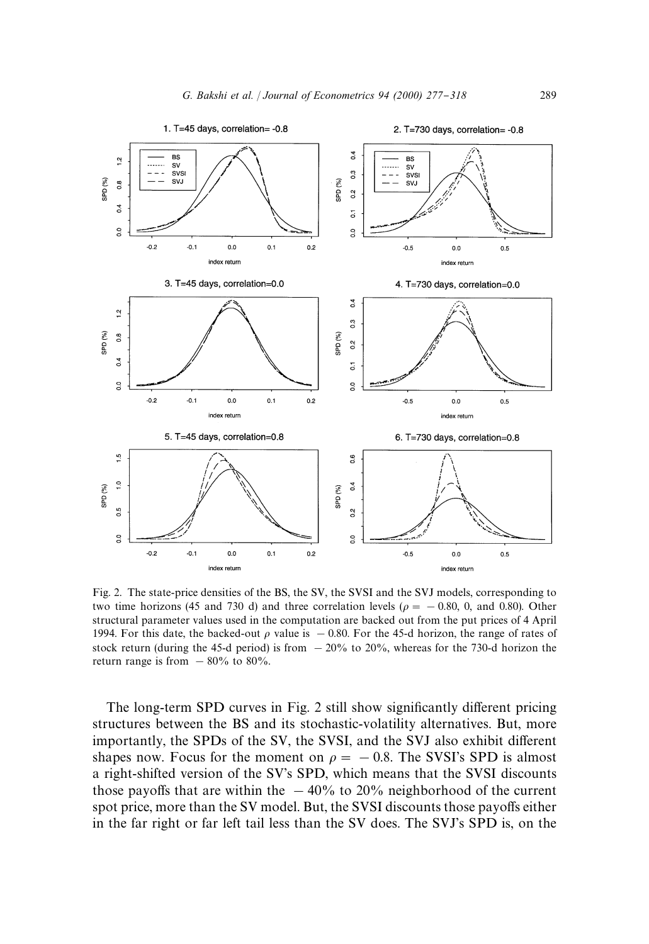

Fig. 2. The state-price densities of the BS, the SV, the SVSI and the SVJ models, corresponding to two time horizons (45 and 730 d) and three correlation levels ( $\rho = -0.80, 0,$  and 0.80). Other structural parameter values used in the computation are backed out from the put prices of 4 April 1994. For this date, the backed-out  $\rho$  value is  $-0.80$ . For the 45-d horizon, the range of rates of stock return (during the 45-d period) is from  $-20\%$  to 20%, whereas for the 730-d horizon the return range is from  $-80\%$  to 80%.

The long-term SPD curves in Fig. 2 still show significantly different pricing structures between the BS and its stochastic-volatility alternatives. But, more importantly, the SPDs of the SV, the SVSI, and the SVJ also exhibit different shapes now. Focus for the moment on  $\rho = -0.8$ . The SVSI's SPD is almost a right-shifted version of the SV's SPD, which means that the SVSI discounts those payoffs that are within the  $-40\%$  to 20% neighborhood of the current spot price, more than the SV model. But, the SVSI discounts those payoffs either in the far right or far left tail less than the SV does. The SVJ's SPD is, on the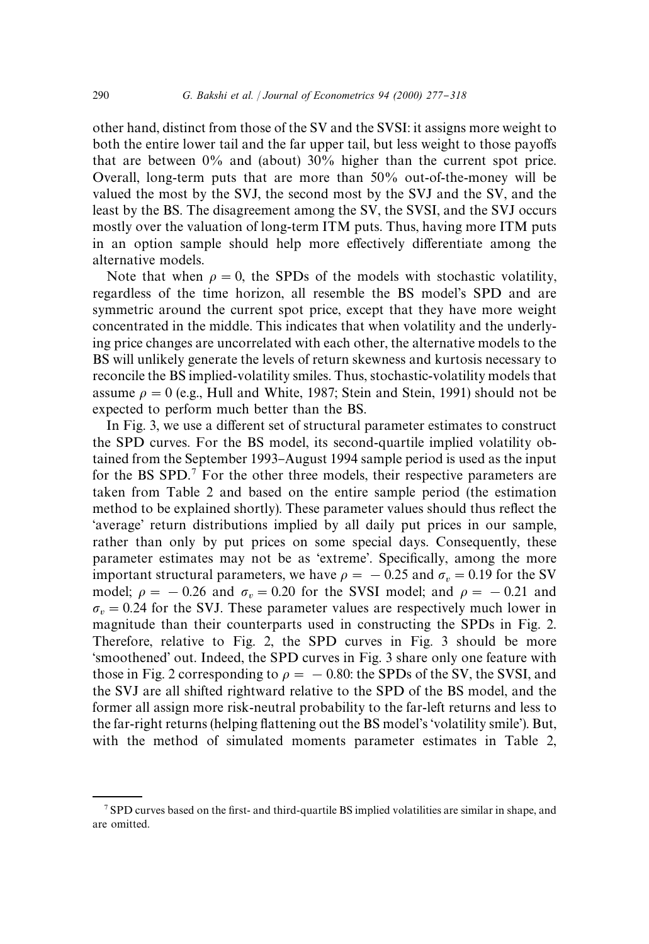other hand, distinct from those of the SV and the SVSI: it assigns more weight to both the entire lower tail and the far upper tail, but less weight to those payoffs that are between  $0\%$  and (about)  $30\%$  higher than the current spot price. Overall, long-term puts that are more than 50% out-of-the-money will be valued the most by the SVJ, the second most by the SVJ and the SV, and the least by the BS. The disagreement among the SV, the SVSI, and the SVJ occurs mostly over the valuation of long-term ITM puts. Thus, having more ITM puts in an option sample should help more effectively differentiate among the alternative models.

Note that when  $\rho = 0$ , the SPDs of the models with stochastic volatility, regardless of the time horizon, all resemble the BS model's SPD and are symmetric around the current spot price, except that they have more weight concentrated in the middle. This indicates that when volatility and the underlying price changes are uncorrelated with each other, the alternative models to the BS will unlikely generate the levels of return skewness and kurtosis necessary to reconcile the BS implied-volatility smiles. Thus, stochastic-volatility models that assume  $\rho = 0$  (e.g., Hull and White, 1987; Stein and Stein, 1991) should not be expected to perform much better than the BS.

In Fig. 3, we use a different set of structural parameter estimates to construct the SPD curves. For the BS model, its second-quartile implied volatility obtained from the September 1993–August 1994 sample period is used as the input for the BS SPD.<sup>7</sup> For the other three models, their respective parameters are taken from Table 2 and based on the entire sample period (the estimation method to be explained shortly). These parameter values should thus reflect the 'average' return distributions implied by all daily put prices in our sample, rather than only by put prices on some special days. Consequently, these parameter estimates may not be as 'extreme'. Specifically, among the more important structural parameters, we have  $\rho = -0.25$  and  $\sigma_v = 0.19$  for the SV model;  $\rho = -0.26$  and  $\sigma_v = 0.20$  for the SVSI model; and  $\rho = -0.21$  and  $\sigma_v = 0.24$  for the SVJ. These parameter values are respectively much lower in magnitude than their counterparts used in constructing the SPDs in Fig. 2. Therefore, relative to Fig. 2, the SPD curves in Fig. 3 should be more 'smoothened' out. Indeed, the SPD curves in Fig. 3 share only one feature with those in Fig. 2 corresponding to  $\rho = -0.80$ : the SPDs of the SV, the SVSI, and the SVJ are all shifted rightward relative to the SPD of the BS model, and the former all assign more risk-neutral probability to the far-left returns and less to the far-right returns (helping flattening out the BS model's 'volatility smile'). But, with the method of simulated moments parameter estimates in Table 2,

 $7$  SPD curves based on the first- and third-quartile BS implied volatilities are similar in shape, and are omitted.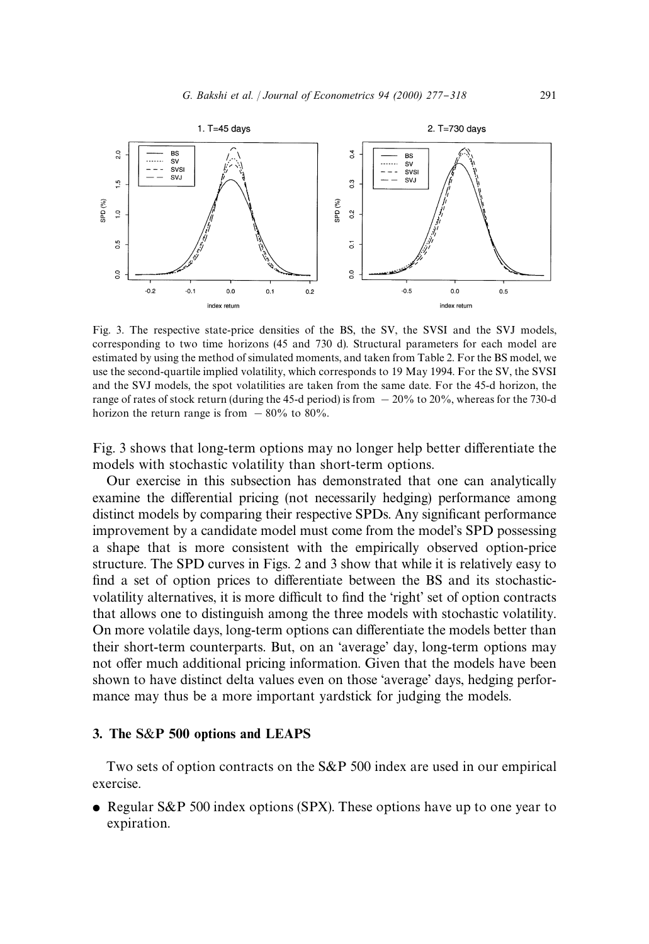

Fig. 3. The respective state-price densities of the BS, the SV, the SVSI and the SVJ models, corresponding to two time horizons (45 and 730 d). Structural parameters for each model are estimated by using the method of simulated moments, and taken from Table 2. For the BS model, we use the second-quartile implied volatility, which corresponds to 19 May 1994. For the SV, the SVSI and the SVJ models, the spot volatilities are taken from the same date. For the 45-d horizon, the range of rates of stock return (during the 45-d period) is from  $-20\%$  to 20%, whereas for the 730-d horizon the return range is from  $-80\%$  to 80%.

Fig. 3 shows that long-term options may no longer help better differentiate the models with stochastic volatility than short-term options.

Our exercise in this subsection has demonstrated that one can analytically examine the differential pricing (not necessarily hedging) performance among distinct models by comparing their respective SPDs. Any significant performance improvement by a candidate model must come from the model's SPD possessing a shape that is more consistent with the empirically observed option-price structure. The SPD curves in Figs. 2 and 3 show that while it is relatively easy to find a set of option prices to differentiate between the BS and its stochasticvolatility alternatives, it is more difficult to find the 'right' set of option contracts that allows one to distinguish among the three models with stochastic volatility. On more volatile days, long-term options can differentiate the models better than their short-term counterparts. But, on an 'average' day, long-term options may not offer much additional pricing information. Given that the models have been shown to have distinct delta values even on those 'average' days, hedging performance may thus be a more important yardstick for judging the models.

#### 3. The S&P 500 options and LEAPS

Two sets of option contracts on the S&P 500 index are used in our empirical exercise.

• Regular S&P 500 index options (SPX). These options have up to one year to expiration.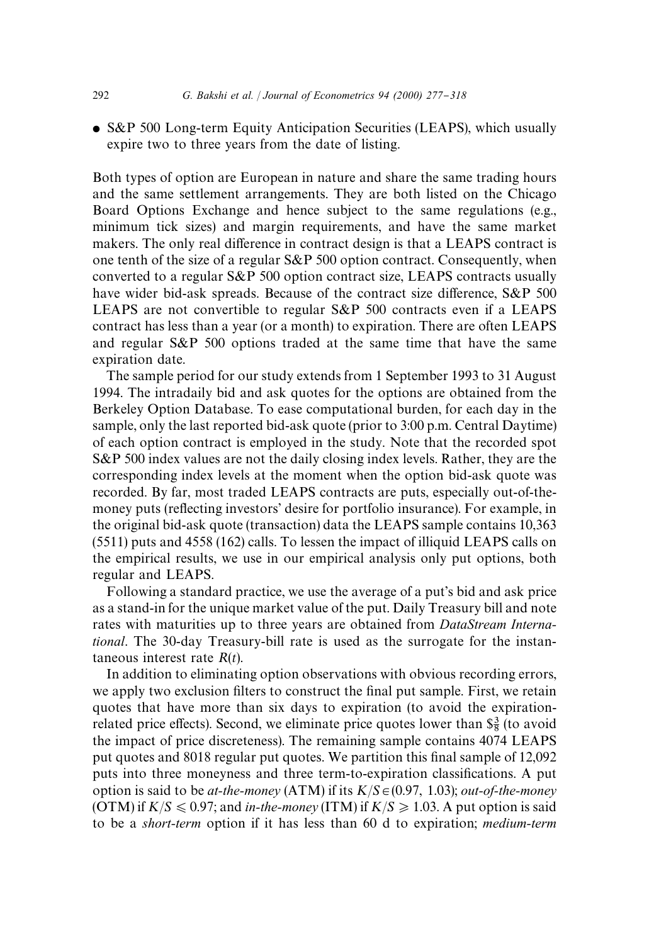• S&P 500 Long-term Equity Anticipation Securities (LEAPS), which usually expire two to three years from the date of listing.

Both types of option are European in nature and share the same trading hours and the same settlement arrangements. They are both listed on the Chicago Board Options Exchange and hence subject to the same regulations (e.g., minimum tick sizes) and margin requirements, and have the same market makers. The only real difference in contract design is that a LEAPS contract is one tenth of the size of a regular S&P 500 option contract. Consequently, when converted to a regular S&P 500 option contract size, LEAPS contracts usually have wider bid-ask spreads. Because of the contract size difference, S&P 500 LEAPS are not convertible to regular S&P 500 contracts even if a LEAPS contract has less than a year (or a month) to expiration. There are often LEAPS and regular S&P 500 options traded at the same time that have the same expiration date.

The sample period for our study extends from 1 September 1993 to 31 August 1994. The intradaily bid and ask quotes for the options are obtained from the Berkeley Option Database. To ease computational burden, for each day in the sample, only the last reported bid-ask quote (prior to 3:00 p.m. Central Daytime) of each option contract is employed in the study. Note that the recorded spot S&P 500 index values are not the daily closing index levels. Rather, they are the corresponding index levels at the moment when the option bid-ask quote was recorded. By far, most traded LEAPS contracts are puts, especially out-of-themoney puts (reflecting investors' desire for portfolio insurance). For example, in the original bid-ask quote (transaction) data the LEAPS sample contains 10,363 (5511) puts and 4558 (162) calls. To lessen the impact of illiquid LEAPS calls on the empirical results, we use in our empirical analysis only put options, both regular and LEAPS.

Following a standard practice, we use the average of a put's bid and ask price as a stand-in for the unique market value of the put. Daily Treasury bill and note rates with maturities up to three years are obtained from *DataStream International*. The 30-day Treasury-bill rate is used as the surrogate for the instantaneous interest rate *R*(*t*).

In addition to eliminating option observations with obvious recording errors, we apply two exclusion filters to construct the final put sample. First, we retain quotes that have more than six days to expiration (to avoid the expirationrelated price effects). Second, we eliminate price quotes lower than  $\frac{\sqrt{3}}{2}$  (to avoid the impact of price discreteness). The remaining sample contains 4074 LEAPS put quotes and 8018 regular put quotes. We partition this final sample of 12,092 puts into three moneyness and three term-to-expiration classifications. A put option is said to be *at-the-money* (ATM) if its  $K/S \in (0.97, 1.03)$ ; *out-of-the-money* (OTM) if  $K/S \le 0.97$ ; and *in-the-money* (ITM) if  $K/S \ge 1.03$ . A put option is said to be a *short-term* option if it has less than 60 d to expiration; *medium-term*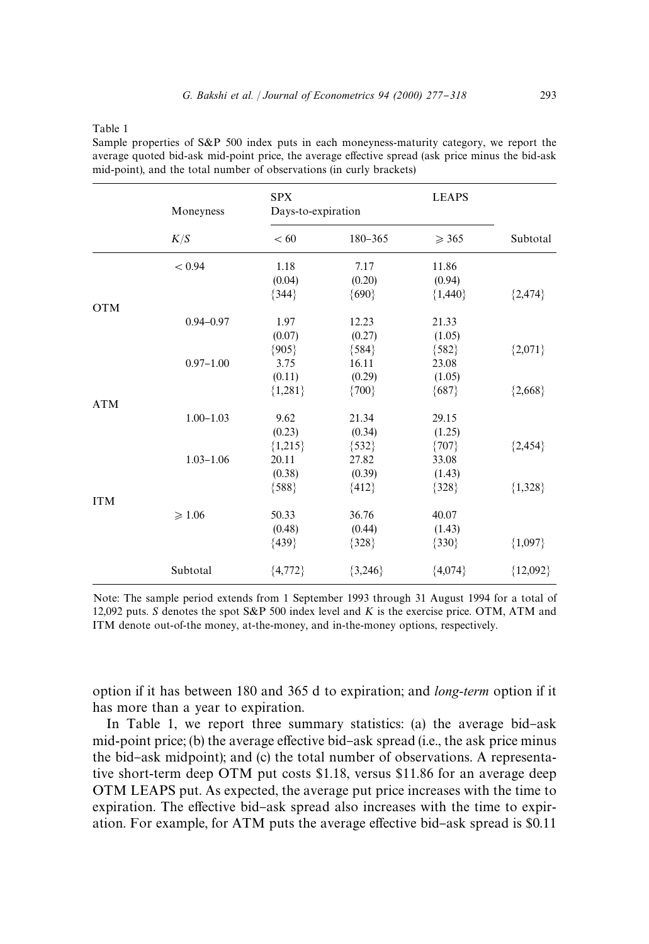|            | Moneyness        | <b>SPX</b><br>Days-to-expiration |           | <b>LEAPS</b>    |            |
|------------|------------------|----------------------------------|-----------|-----------------|------------|
|            | K/S              | < 60                             | 180-365   | $\geqslant$ 365 | Subtotal   |
|            | < 0.94           | 1.18                             | 7.17      | 11.86           |            |
|            |                  | (0.04)                           | (0.20)    | (0.94)          |            |
|            |                  | ${344}$                          | ${690}$   | ${1,440}$       | ${2,474}$  |
| <b>OTM</b> |                  |                                  |           |                 |            |
|            | $0.94 - 0.97$    | 1.97                             | 12.23     | 21.33           |            |
|            |                  | (0.07)                           | (0.27)    | (1.05)          |            |
|            |                  | ${905}$                          | ${584}$   | ${582}$         | ${2,071}$  |
|            | $0.97 - 1.00$    | 3.75                             | 16.11     | 23.08           |            |
|            |                  | (0.11)                           | (0.29)    | (1.05)          |            |
|            |                  | ${1,281}$                        | ${700}$   | ${687}$         | ${2,668}$  |
| <b>ATM</b> |                  |                                  |           |                 |            |
|            | $1.00 - 1.03$    | 9.62                             | 21.34     | 29.15           |            |
|            |                  | (0.23)                           | (0.34)    | (1.25)          |            |
|            |                  | ${1,215}$                        | ${532}$   | ${707}$         | ${2,454}$  |
|            | $1.03 - 1.06$    | 20.11                            | 27.82     | 33.08           |            |
|            |                  | (0.38)                           | (0.39)    | (1.43)          |            |
|            |                  | ${588}$                          | ${412}$   | ${328}$         | ${1,328}$  |
| <b>ITM</b> |                  |                                  |           |                 |            |
|            | $\geqslant$ 1.06 | 50.33                            | 36.76     | 40.07           |            |
|            |                  | (0.48)                           | (0.44)    | (1.43)          |            |
|            |                  | ${439}$                          | ${328}$   | ${330}$         | ${1,097}$  |
|            | Subtotal         | ${4,772}$                        | ${3,246}$ | ${4,074}$       | ${12,092}$ |

Sample properties of S&P 500 index puts in each moneyness-maturity category, we report the average quoted bid-ask mid-point price, the average effective spread (ask price minus the bid-ask mid-point), and the total number of observations (in curly brackets)

option if it has between 180 and 365 d to expiration; and *long-term* option if it has more than a year to expiration.

In Table 1, we report three summary statistics: (a) the average bid-ask mid-point price; (b) the average effective bid-ask spread (i.e., the ask price minus the bid-ask midpoint); and (c) the total number of observations. A representative short-term deep OTM put costs \$1.18, versus \$11.86 for an average deep OTM LEAPS put. As expected, the average put price increases with the time to expiration. The effective bid-ask spread also increases with the time to expiration. For example, for ATM puts the average effective bid-ask spread is \$0.11

Note: The sample period extends from 1 September 1993 through 31 August 1994 for a total of 12,092 puts. *S* denotes the spot S&P 500 index level and *K* is the exercise price. OTM, ATM and ITM denote out-of-the money, at-the-money, and in-the-money options, respectively.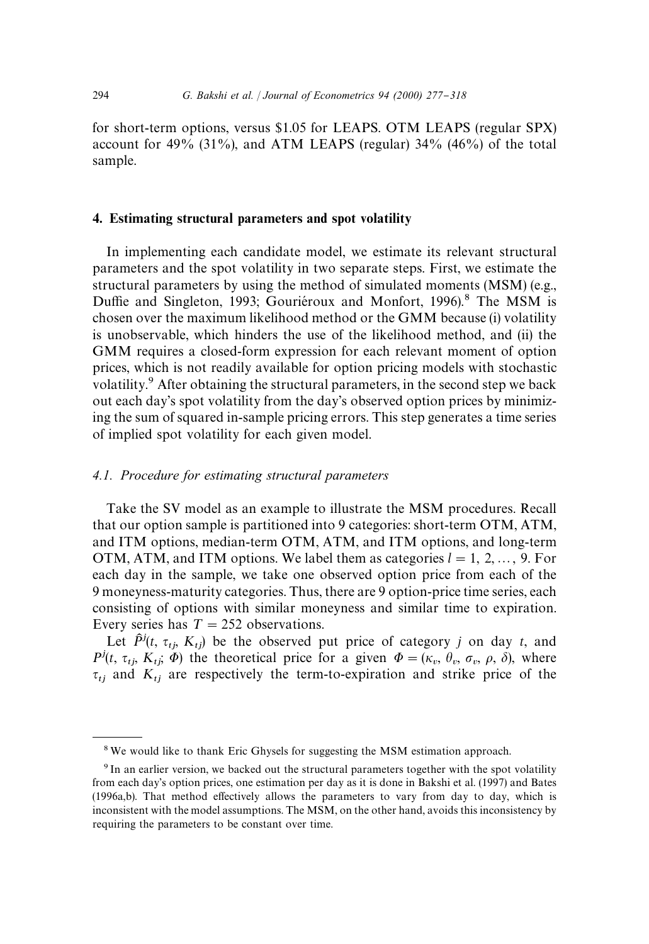for short-term options, versus \$1.05 for LEAPS. OTM LEAPS (regular SPX) account for 49% (31%), and ATM LEAPS (regular) 34% (46%) of the total sample.

#### 4. Estimating structural parameters and spot volatility

In implementing each candidate model, we estimate its relevant structural parameters and the spot volatility in two separate steps. First, we estimate the structural parameters by using the method of simulated moments (MSM) (e.g., Duffie and Singleton, 1993; Gourieroux and Monfort, 1996).<sup>8</sup> The MSM is chosen over the maximum likelihood method or the GMM because (i) volatility is unobservable, which hinders the use of the likelihood method, and (ii) the GMM requires a closed-form expression for each relevant moment of option prices, which is not readily available for option pricing models with stochastic volatility.<sup>9</sup> After obtaining the structural parameters, in the second step we back out each day's spot volatility from the day's observed option prices by minimizing the sum of squared in-sample pricing errors. This step generates a time series of implied spot volatility for each given model.

## *4.1. Procedure for estimating structural parameters*

Take the SV model as an example to illustrate the MSM procedures. Recall that our option sample is partitioned into 9 categories: short-term OTM, ATM, and ITM options, median-term OTM, ATM, and ITM options, and long-term OTM, ATM, and ITM options. We label them as categories  $l = 1, 2, \ldots, 9$ . For each day in the sample, we take one observed option price from each of the 9 moneyness-maturity categories. Thus, there are 9 option-price time series, each consisting of options with similar moneyness and similar time to expiration. Every series has  $T = 252$  observations.

Let  $\hat{P}^{j}(t, \tau_{tj}, K_{tj})$  be the observed put price of category *j* on day *t*, and  $P^{j}(t, \tau_{tj}, K_{tj}, \Phi)$  the theoretical price for a given  $\Phi = (\kappa_{v}, \theta_{v}, \sigma_{v}, \rho, \delta)$ , where  $\tau_{tj}$  and  $K_{tj}$  are respectively the term-to-expiration and strike price of the

<sup>&</sup>lt;sup>8</sup> We would like to thank Eric Ghysels for suggesting the MSM estimation approach.

<sup>&</sup>lt;sup>9</sup> In an earlier version, we backed out the structural parameters together with the spot volatility from each day's option prices, one estimation per day as it is done in Bakshi et al. (1997) and Bates (1996a,b). That method effectively allows the parameters to vary from day to day, which is inconsistent with the model assumptions. The MSM, on the other hand, avoids this inconsistency by requiring the parameters to be constant over time.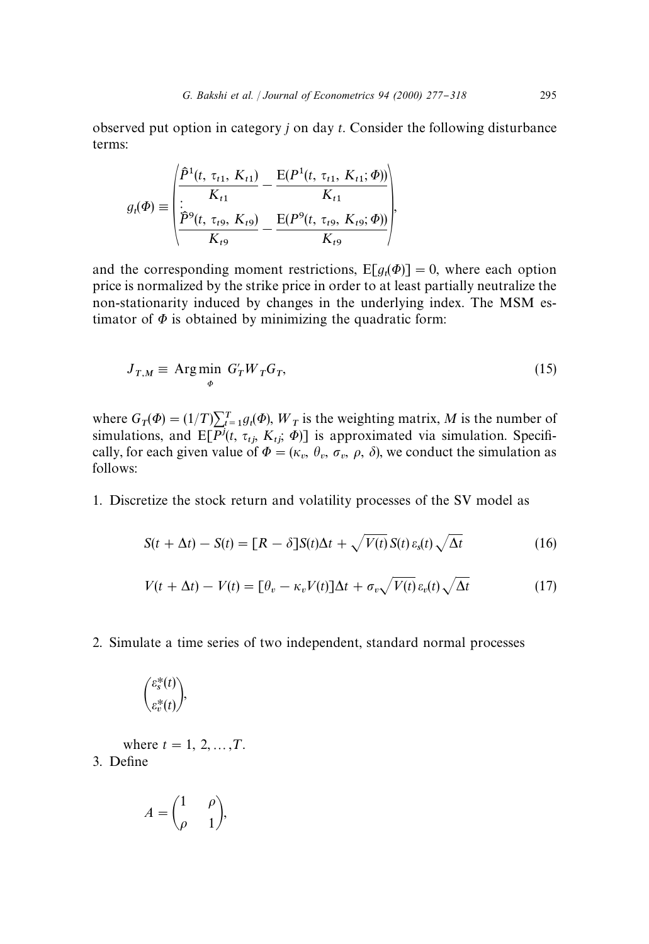observed put option in category *j* on day *t*. Consider the following disturbance terms:

$$
g_t(\Phi) \equiv \left( \frac{\hat{P}^1(t, \tau_{t1}, K_{t1})}{K_{t1}} - \frac{E(P^1(t, \tau_{t1}, K_{t1}; \Phi))}{K_{t1}} \right) \frac{\hat{P}^9(t, \tau_{t9}, K_{t9})}{K_{t9}} - \frac{E(P^9(t, \tau_{t9}, K_{t9}; \Phi))}{K_{t9}} \right),
$$

and the corresponding moment restrictions,  $E[g_i(\Phi)] = 0$ , where each option price is normalized by the strike price in order to at least partially neutralize the non-stationarity induced by changes in the underlying index. The MSM estimator of  $\Phi$  is obtained by minimizing the quadratic form:

$$
J_{T,M} \equiv \operatorname{Arg} \min_{\phi} \ G'_T W_T G_T,\tag{15}
$$

where  $G_T(\Phi) = (1/T) \sum_{t=1}^T g_t(\Phi)$ ,  $W_T$  is the weighting matrix, *M* is the number of simulations, and  $E[P^{j}(t, \tau_{tj}, K_{tj}; \Phi)]$  is approximated via simulation. Specifically, for each given value of  $\Phi = (\kappa_v, \theta_v, \sigma_v, \rho, \delta)$ , we conduct the simulation as follows:

1. Discretize the stock return and volatility processes of the SV model as

$$
S(t + \Delta t) - S(t) = [R - \delta]S(t)\Delta t + \sqrt{V(t)}S(t)\varepsilon_{s}(t)\sqrt{\Delta t}
$$
\n(16)

$$
V(t + \Delta t) - V(t) = [\theta_v - \kappa_v V(t)]\Delta t + \sigma_v \sqrt{V(t)} \varepsilon_v(t) \sqrt{\Delta t}
$$
 (17)

2. Simulate a time series of two independent, standard normal processes

$$
\begin{pmatrix} \varepsilon_s^*(t) \\ \varepsilon_v^*(t) \end{pmatrix},
$$

where  $t = 1, 2, ..., T$ . 3. Define

$$
A = \begin{pmatrix} 1 & \rho \\ \rho & 1 \end{pmatrix},
$$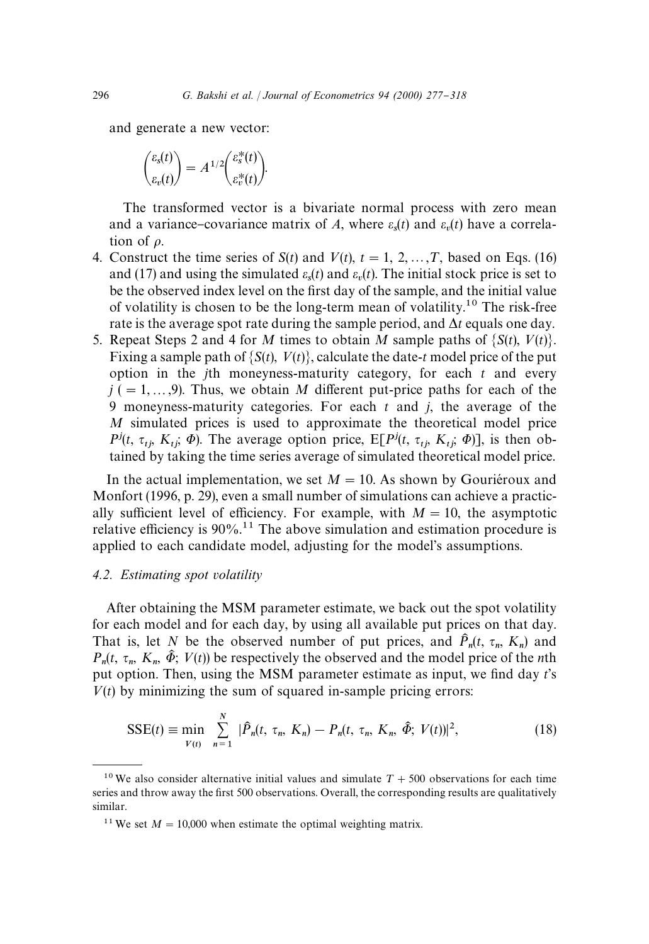and generate a new vector:

$$
\begin{pmatrix} \varepsilon_s(t) \\ \varepsilon_v(t) \end{pmatrix} = A^{1/2} \begin{pmatrix} \varepsilon_s^*(t) \\ \varepsilon_v^*(t) \end{pmatrix}.
$$

The transformed vector is a bivariate normal process with zero mean and a variance-covariance matrix of *A*, where  $\varepsilon_s(t)$  and  $\varepsilon_v(t)$  have a correlation of  $\rho$ .

- 4. Construct the time series of  $S(t)$  and  $V(t)$ ,  $t = 1, 2, ..., T$ , based on Eqs. (16) and (17) and using the simulated  $\varepsilon_s(t)$  and  $\varepsilon_v(t)$ . The initial stock price is set to be the observed index level on the first day of the sample, and the initial value of volatility is chosen to be the long-term mean of volatility.<sup>10</sup> The risk-free rate is the average spot rate during the sample period, and  $\Delta t$  equals one day.
- 5. Repeat Steps 2 and 4 for *M* times to obtain *M* sample paths of  $\{S(t), V(t)\}\$ . Fixing a sample path of  $\{S(t), V(t)\}\)$ , calculate the date-*t* model price of the put option in the *j*th moneyness-maturity category, for each *t* and every  $j$  ( $= 1,...,9$ ). Thus, we obtain *M* different put-price paths for each of the 9 moneyness-maturity categories. For each *t* and *j*, the average of the *M* simulated prices is used to approximate the theoretical model price  $P^{j}(t, \tau_{tj}, K_{tj}, \Phi)$ . The average option price, E[ $P^{j}(t, \tau_{tj}, K_{tj}, \Phi)$ ], is then obtained by taking the time series average of simulated theoretical model price.

In the actual implementation, we set  $M = 10$ . As shown by Gourieroux and Monfort (1996, p. 29), even a small number of simulations can achieve a practically sufficient level of efficiency. For example, with  $M = 10$ , the asymptotic relative efficiency is  $90\%$ <sup>11</sup>. The above simulation and estimation procedure is applied to each candidate model, adjusting for the model's assumptions.

#### *4.2. Estimating spot volatility*

After obtaining the MSM parameter estimate, we back out the spot volatility for each model and for each day, by using all available put prices on that day. That is, let *N* be the observed number of put prices, and  $\hat{P}_n(t, \tau_n, K_n)$  and  $P_n(t, \tau_n, K_n, \hat{\Phi}; V(t))$  be respectively the observed and the model price of the *n*th put option. Then, using the MSM parameter estimate as input, we find day *t*'s  $V(t)$  by minimizing the sum of squared in-sample pricing errors:

$$
SSE(t) \equiv \min_{V(t)} \sum_{n=1}^{N} |\hat{P}_n(t, \tau_n, K_n) - P_n(t, \tau_n, K_n, \hat{\Phi}; V(t))|^2,
$$
\n(18)

<sup>&</sup>lt;sup>10</sup>We also consider alternative initial values and simulate  $T + 500$  observations for each time series and throw away the first 500 observations. Overall, the corresponding results are qualitatively similar.

<sup>&</sup>lt;sup>11</sup> We set  $M = 10,000$  when estimate the optimal weighting matrix.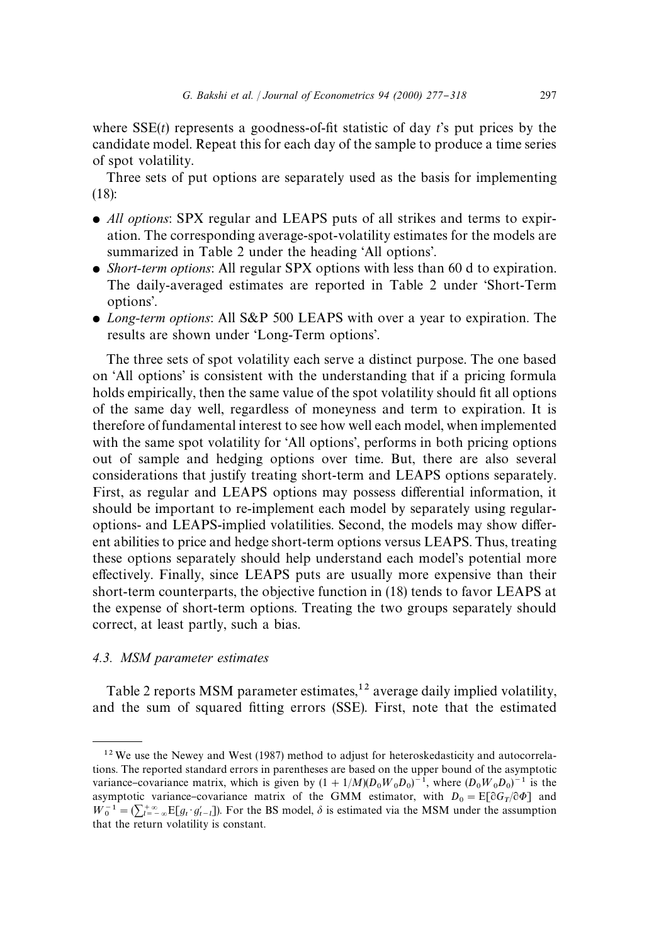where  $SSE(t)$  represents a goodness-of-fit statistic of day  $t$ 's put prices by the candidate model. Repeat this for each day of the sample to produce a time series of spot volatility.

Three sets of put options are separately used as the basis for implementing (18):

- *All options*: SPX regular and LEAPS puts of all strikes and terms to expiration. The corresponding average-spot-volatility estimates for the models are summarized in Table 2 under the heading 'All options'.
- *Short-term options*: All regular SPX options with less than 60 d to expiration. The daily-averaged estimates are reported in Table 2 under 'Short-Term options'.
- *Long-term options*: All S&P 500 LEAPS with over a year to expiration. The results are shown under 'Long-Term options'.

The three sets of spot volatility each serve a distinct purpose. The one based on &All options' is consistent with the understanding that if a pricing formula holds empirically, then the same value of the spot volatility should fit all options of the same day well, regardless of moneyness and term to expiration. It is therefore of fundamental interest to see how well each model, when implemented with the same spot volatility for 'All options', performs in both pricing options out of sample and hedging options over time. But, there are also several considerations that justify treating short-term and LEAPS options separately. First, as regular and LEAPS options may possess differential information, it should be important to re-implement each model by separately using regularoptions- and LEAPS-implied volatilities. Second, the models may show different abilities to price and hedge short-term options versus LEAPS. Thus, treating these options separately should help understand each model's potential more effectively. Finally, since LEAPS puts are usually more expensive than their short-term counterparts, the objective function in (18) tends to favor LEAPS at the expense of short-term options. Treating the two groups separately should correct, at least partly, such a bias.

#### *4.3. MSM parameter estimates*

Table 2 reports MSM parameter estimates,<sup>12</sup> average daily implied volatility, and the sum of squared fitting errors (SSE). First, note that the estimated

<sup>&</sup>lt;sup>12</sup> We use the Newey and West (1987) method to adjust for heteroskedasticity and autocorrelations. The reported standard errors in parentheses are based on the upper bound of the asymptotic variance–covariance matrix, which is given by  $(1 + 1/M)(D_0W_0D_0)^{-1}$ , where  $(D_0W_0D_0)^{-1}$  is the asymptotic variance-covariance matrix of the GMM estimator, with  $D_0 = E[{\partial G_T}/{\partial \Phi}]$  and  $W_0^{-1} = (\sum_{l=-\infty}^{+\infty} E[g_l \cdot g_{l-l}']$ . For the BS model,  $\delta$  is estimated via the MSM under the assumption that the return volatility is constant.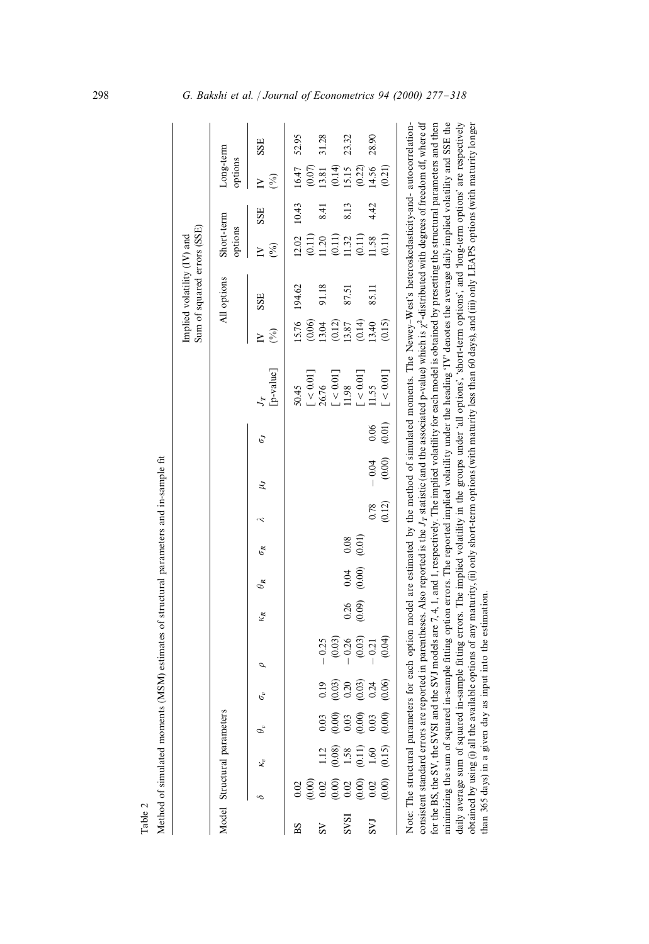|                |        |                             |        |            |                                                            |            |                       |            |        |         |          |                                                                                                                                                                                                                                                                                                                                                                                                                                                                                                                                                                                                                                                                                                                                                                                                                                                                                                                                                                                                                                                                                                                      |               | Sum of squared errors (SSE)<br>Implied volatility (IV) and |                       |       |                      |       |
|----------------|--------|-----------------------------|--------|------------|------------------------------------------------------------|------------|-----------------------|------------|--------|---------|----------|----------------------------------------------------------------------------------------------------------------------------------------------------------------------------------------------------------------------------------------------------------------------------------------------------------------------------------------------------------------------------------------------------------------------------------------------------------------------------------------------------------------------------------------------------------------------------------------------------------------------------------------------------------------------------------------------------------------------------------------------------------------------------------------------------------------------------------------------------------------------------------------------------------------------------------------------------------------------------------------------------------------------------------------------------------------------------------------------------------------------|---------------|------------------------------------------------------------|-----------------------|-------|----------------------|-------|
|                |        | Model Structural parameters |        |            |                                                            |            |                       |            |        |         |          |                                                                                                                                                                                                                                                                                                                                                                                                                                                                                                                                                                                                                                                                                                                                                                                                                                                                                                                                                                                                                                                                                                                      |               | All options                                                | Short-term<br>options |       | Long-term<br>options |       |
|                |        | k,                          |        | $\sigma_v$ |                                                            | $\kappa_R$ | $\theta_{\mathbf{R}}$ | $\sigma_R$ |        | Ļ       | $\sigma$ | [p-value]                                                                                                                                                                                                                                                                                                                                                                                                                                                                                                                                                                                                                                                                                                                                                                                                                                                                                                                                                                                                                                                                                                            | (%)<br>$\geq$ | SSE                                                        | $($ % $)$<br>$\geq$   | SSE   | $($ % $)$<br>$\geq$  | SSE   |
| BS             | 0.02   |                             |        |            |                                                            |            |                       |            |        |         |          | 50.45                                                                                                                                                                                                                                                                                                                                                                                                                                                                                                                                                                                                                                                                                                                                                                                                                                                                                                                                                                                                                                                                                                                | 15.76         | 194.62                                                     | 12.02                 | 10.43 | 16.47                | 52.95 |
|                | (0.00) |                             |        |            |                                                            |            |                       |            |        |         |          | $\begin{bmatrix} 5 & 0.01 \\ 26.76 & 1 \end{bmatrix}$                                                                                                                                                                                                                                                                                                                                                                                                                                                                                                                                                                                                                                                                                                                                                                                                                                                                                                                                                                                                                                                                | (0.06)        |                                                            | (11)                  |       | (0.07)               |       |
| $\overline{S}$ | 0.02   | 112                         | 0.03   |            | $-0.25$                                                    |            |                       |            |        |         |          |                                                                                                                                                                                                                                                                                                                                                                                                                                                                                                                                                                                                                                                                                                                                                                                                                                                                                                                                                                                                                                                                                                                      | 13.04         | 91.18                                                      | 1.20                  | 8.41  | 13.81                | 31.28 |
|                | (0.00) | (80.0)                      | (0.00) | $_{0.03}$  | (0.03)                                                     |            |                       |            |        |         |          | $\left[\right.\times0.01\right]$ 11.98                                                                                                                                                                                                                                                                                                                                                                                                                                                                                                                                                                                                                                                                                                                                                                                                                                                                                                                                                                                                                                                                               | (0.12)        |                                                            | (0.11)                |       | (0.14)               |       |
| <b>ISAS</b>    | 0.02   | 1.58                        | 0.03   | 0.20       | $-0.26$                                                    | 0.26       | 0.04                  | 0.08       |        |         |          |                                                                                                                                                                                                                                                                                                                                                                                                                                                                                                                                                                                                                                                                                                                                                                                                                                                                                                                                                                                                                                                                                                                      | 13.87         | 87.51                                                      | 1.32                  | 8.13  | 15.15                | 23.32 |
|                | (0.00) | (11)                        | 0.00   | (0.03)     | (0.03)                                                     | (0.09)     | (0.00)                | (0.01)     |        |         |          | $\frac{1}{2}$ < 0.01]                                                                                                                                                                                                                                                                                                                                                                                                                                                                                                                                                                                                                                                                                                                                                                                                                                                                                                                                                                                                                                                                                                | (0.14)        |                                                            | (0.11)                |       | (0.22)               |       |
| <b>EAS</b>     | 0.02   | 1.60                        | 0.03   | 0.24       | $-0.21$                                                    |            |                       |            | 0.78   | $-0.04$ | 0.06     | 11.55                                                                                                                                                                                                                                                                                                                                                                                                                                                                                                                                                                                                                                                                                                                                                                                                                                                                                                                                                                                                                                                                                                                | 13.40         | 85.11                                                      | 1.58                  | 4.42  | 14.56                | 28.90 |
|                | 0.00   | (0.15)                      | (0.00) | (0.06)     | (0.04)                                                     |            |                       |            | (0.12) | (0.00)  | (0.01)   | [ 0.01]                                                                                                                                                                                                                                                                                                                                                                                                                                                                                                                                                                                                                                                                                                                                                                                                                                                                                                                                                                                                                                                                                                              | (0.15)        |                                                            | (0.11)                |       | (0.21)               |       |
|                |        |                             |        |            | than 365 days) in a given day as input into the estimation |            |                       |            |        |         |          | Note: The structural parameters for each option model are estimated by the method of simulated moments. The Newey-West's heteroskedasticity-and- autocorrelation-<br>for the BS, the SV, the SVSI and the SVJ models are 7, 4, 1, and 1, respectively. The implied volatility for each model is obtained by presetting the structural parameters and then<br>minimizing the sum of squared in-sample fitting option errors. The reported implied volatility under the heading TV denotes the average daily implied volatility and SSE the<br>daily average sum of squared in-sample fitting errors. The implied volatility in the groups under 'all options', 'short-term options', and 'long-term options' are respectively<br>consistent standard errors are reported in parentheses. Also reported is the $J_T$ statistic (and the associated p-value) which is $\chi^2$ -distributed with degrees of freedom df, where df<br>obtained by using (i) all the available options of any maturity, (ii) only short-term options (with maturity less than 60 days), and (iii) only LEAPS options (with maturity longer |               |                                                            |                       |       |                      |       |
|                |        |                             |        |            |                                                            |            |                       |            |        |         |          |                                                                                                                                                                                                                                                                                                                                                                                                                                                                                                                                                                                                                                                                                                                                                                                                                                                                                                                                                                                                                                                                                                                      |               |                                                            |                       |       |                      |       |

Method of simulated moments (MSM) estimates of structural parameters and in-sample fit Method of simulated moments (MSM) estimates of structural parameters and in-sample fit

Table 2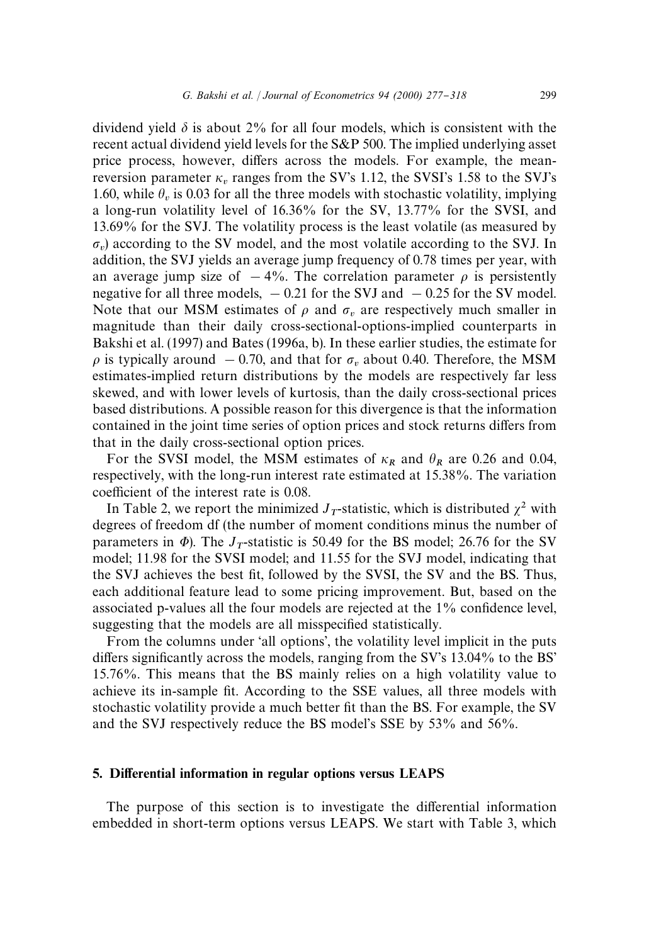dividend yield  $\delta$  is about 2% for all four models, which is consistent with the recent actual dividend yield levels for the S&P 500. The implied underlying asset price process, however, differs across the models. For example, the meanreversion parameter  $\kappa_v$  ranges from the SV's 1.12, the SVSI's 1.58 to the SVJ's 1.60, while  $\theta_v$  is 0.03 for all the three models with stochastic volatility, implying a long-run volatility level of 16.36% for the SV, 13.77% for the SVSI, and 13.69% for the SVJ. The volatility process is the least volatile (as measured by  $\sigma_v$ ) according to the SV model, and the most volatile according to the SVJ. In addition, the SVJ yields an average jump frequency of 0.78 times per year, with an average jump size of  $-4\%$ . The correlation parameter  $\rho$  is persistently negative for all three models,  $-0.21$  for the SVJ and  $-0.25$  for the SV model. Note that our MSM estimates of  $\rho$  and  $\sigma_v$  are respectively much smaller in magnitude than their daily cross-sectional-options-implied counterparts in Bakshi et al. (1997) and Bates (1996a, b). In these earlier studies, the estimate for  $\rho$  is typically around  $-0.70$ , and that for  $\sigma_v$  about 0.40. Therefore, the MSM estimates-implied return distributions by the models are respectively far less skewed, and with lower levels of kurtosis, than the daily cross-sectional prices based distributions. A possible reason for this divergence is that the information contained in the joint time series of option prices and stock returns differs from that in the daily cross-sectional option prices.

For the SVSI model, the MSM estimates of  $\kappa_R$  and  $\theta_R$  are 0.26 and 0.04, respectively, with the long-run interest rate estimated at 15.38%. The variation coefficient of the interest rate is 0.08.

In Table 2, we report the minimized  $J_T$ -statistic, which is distributed  $\chi^2$  with degrees of freedom df (the number of moment conditions minus the number of parameters in  $\Phi$ ). The *J*<sub>T</sub>-statistic is 50.49 for the BS model; 26.76 for the SV model; 11.98 for the SVSI model; and 11.55 for the SVJ model, indicating that the SVJ achieves the best fit, followed by the SVSI, the SV and the BS. Thus, each additional feature lead to some pricing improvement. But, based on the associated p-values all the four models are rejected at the 1% confidence level, suggesting that the models are all misspecified statistically.

From the columns under 'all options', the volatility level implicit in the puts differs significantly across the models, ranging from the SV's  $13.04\%$  to the BS' 15.76%. This means that the BS mainly relies on a high volatility value to achieve its in-sample fit. According to the SSE values, all three models with stochastic volatility provide a much better fit than the BS. For example, the SV and the SVJ respectively reduce the BS model's SSE by 53% and 56%.

### 5. Differential information in regular options versus LEAPS

The purpose of this section is to investigate the differential information embedded in short-term options versus LEAPS. We start with Table 3, which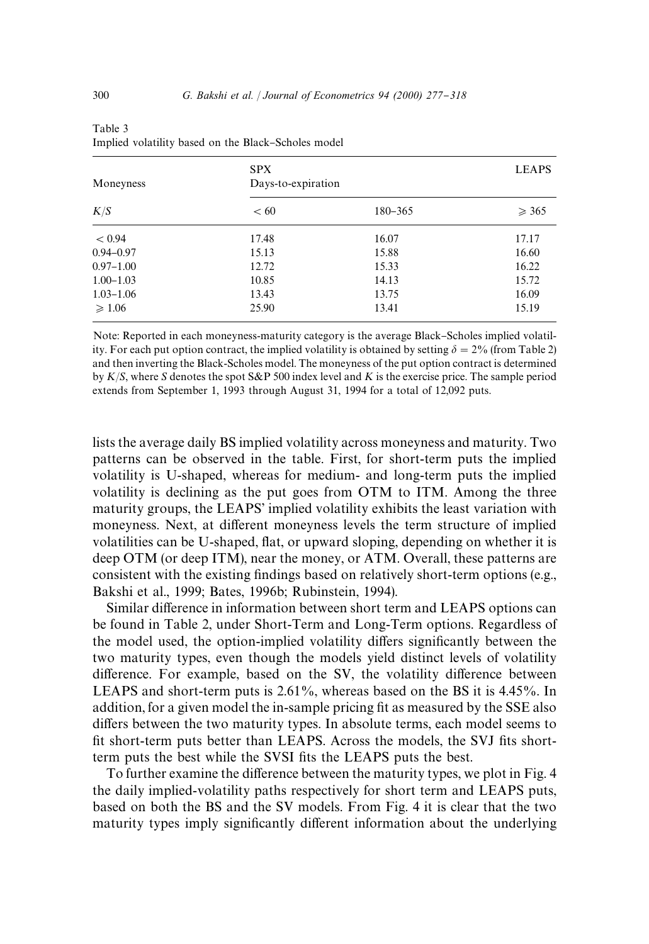| Moneyness        | <b>SPX</b><br>Days-to-expiration |         | <b>LEAPS</b>    |
|------------------|----------------------------------|---------|-----------------|
| K/S              | < 60                             | 180-365 | $\geqslant$ 365 |
| < 0.94           | 17.48                            | 16.07   | 17.17           |
| $0.94 - 0.97$    | 15.13                            | 15.88   | 16.60           |
| $0.97 - 1.00$    | 12.72                            | 15.33   | 16.22           |
| $1.00 - 1.03$    | 10.85                            | 14.13   | 15.72           |
| $1.03 - 1.06$    | 13.43                            | 13.75   | 16.09           |
| $\geqslant$ 1.06 | 25.90                            | 13.41   | 15.19           |

Table 3 Implied volatility based on the Black-Scholes model

Note: Reported in each moneyness-maturity category is the average Black–Scholes implied volatility. For each put option contract, the implied volatility is obtained by setting  $\delta = 2\%$  (from Table 2) and then inverting the Black-Scholes model. The moneyness of the put option contract is determined by *K*/*S*, where *S* denotes the spot S&P 500 index level and *K* is the exercise price. The sample period extends from September 1, 1993 through August 31, 1994 for a total of 12,092 puts.

lists the average daily BS implied volatility across moneyness and maturity. Two patterns can be observed in the table. First, for short-term puts the implied volatility is U-shaped, whereas for medium- and long-term puts the implied volatility is declining as the put goes from OTM to ITM. Among the three maturity groups, the LEAPS' implied volatility exhibits the least variation with moneyness. Next, at different moneyness levels the term structure of implied volatilities can be U-shaped, #at, or upward sloping, depending on whether it is deep OTM (or deep ITM), near the money, or ATM. Overall, these patterns are consistent with the existing findings based on relatively short-term options (e.g., Bakshi et al., 1999; Bates, 1996b; Rubinstein, 1994).

Similar difference in information between short term and LEAPS options can be found in Table 2, under Short-Term and Long-Term options. Regardless of the model used, the option-implied volatility differs significantly between the two maturity types, even though the models yield distinct levels of volatility difference. For example, based on the SV, the volatility difference between LEAPS and short-term puts is 2.61%, whereas based on the BS it is 4.45%. In addition, for a given model the in-sample pricing fit as measured by the SSE also differs between the two maturity types. In absolute terms, each model seems to fit short-term puts better than LEAPS. Across the models, the SVJ fits shortterm puts the best while the SVSI fits the LEAPS puts the best.

To further examine the difference between the maturity types, we plot in Fig. 4 the daily implied-volatility paths respectively for short term and LEAPS puts, based on both the BS and the SV models. From Fig. 4 it is clear that the two maturity types imply significantly different information about the underlying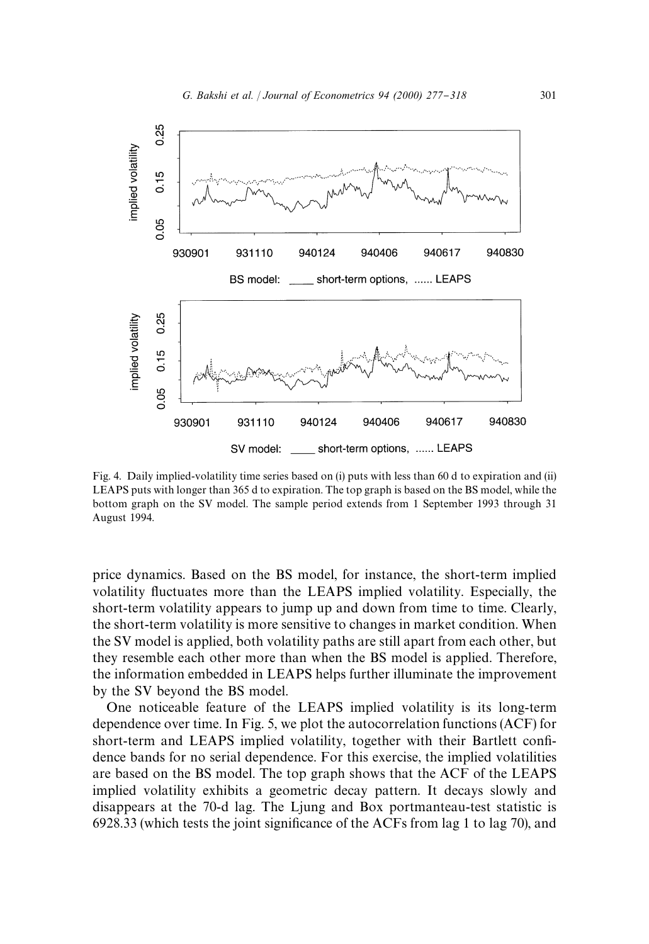

Fig. 4. Daily implied-volatility time series based on (i) puts with less than 60 d to expiration and (ii) LEAPS puts with longer than 365 d to expiration. The top graph is based on the BS model, while the bottom graph on the SV model. The sample period extends from 1 September 1993 through 31 August 1994.

price dynamics. Based on the BS model, for instance, the short-term implied volatility #uctuates more than the LEAPS implied volatility. Especially, the short-term volatility appears to jump up and down from time to time. Clearly, the short-term volatility is more sensitive to changes in market condition. When the SV model is applied, both volatility paths are still apart from each other, but they resemble each other more than when the BS model is applied. Therefore, the information embedded in LEAPS helps further illuminate the improvement by the SV beyond the BS model.

One noticeable feature of the LEAPS implied volatility is its long-term dependence over time. In Fig. 5, we plot the autocorrelation functions (ACF) for short-term and LEAPS implied volatility, together with their Bartlett confidence bands for no serial dependence. For this exercise, the implied volatilities are based on the BS model. The top graph shows that the ACF of the LEAPS implied volatility exhibits a geometric decay pattern. It decays slowly and disappears at the 70-d lag. The Ljung and Box portmanteau-test statistic is  $6928.33$  (which tests the joint significance of the ACFs from lag 1 to lag 70), and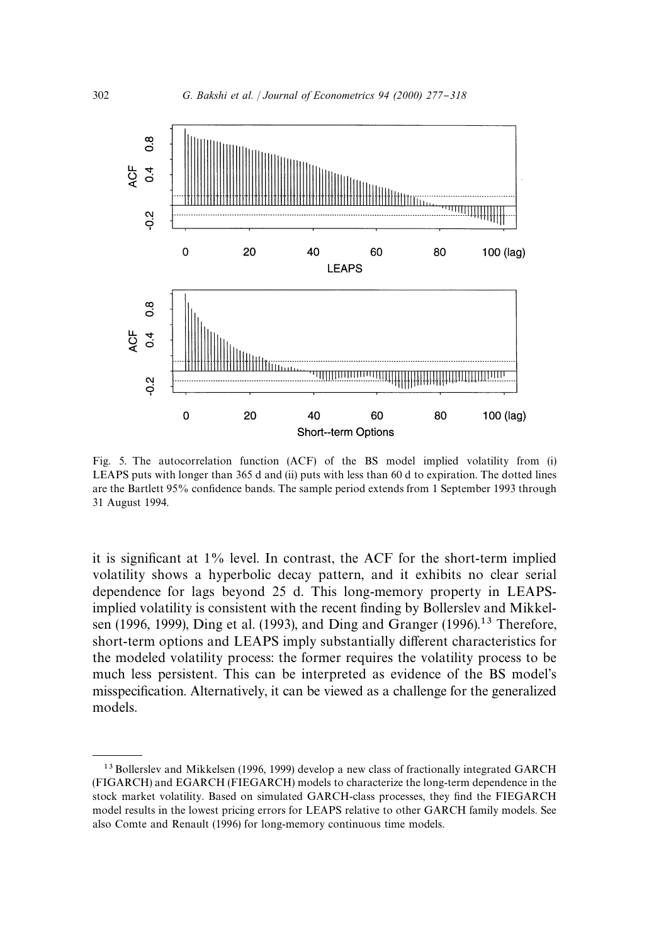

Fig. 5. The autocorrelation function (ACF) of the BS model implied volatility from (i) LEAPS puts with longer than 365 d and (ii) puts with less than 60 d to expiration. The dotted lines are the Bartlett 95% confidence bands. The sample period extends from 1 September 1993 through 31 August 1994.

it is significant at  $1\%$  level. In contrast, the ACF for the short-term implied volatility shows a hyperbolic decay pattern, and it exhibits no clear serial dependence for lags beyond 25 d. This long-memory property in LEAPSimplied volatility is consistent with the recent finding by Bollerslev and Mikkelsen (1996, 1999), Ding et al. (1993), and Ding and Granger (1996).<sup>13</sup> Therefore, short-term options and LEAPS imply substantially different characteristics for the modeled volatility process: the former requires the volatility process to be much less persistent. This can be interpreted as evidence of the BS model's misspecification. Alternatively, it can be viewed as a challenge for the generalized models.

<sup>&</sup>lt;sup>13</sup> Bollerslev and Mikkelsen (1996, 1999) develop a new class of fractionally integrated GARCH (FIGARCH) and EGARCH (FIEGARCH) models to characterize the long-term dependence in the stock market volatility. Based on simulated GARCH-class processes, they find the FIEGARCH model results in the lowest pricing errors for LEAPS relative to other GARCH family models. See also Comte and Renault (1996) for long-memory continuous time models.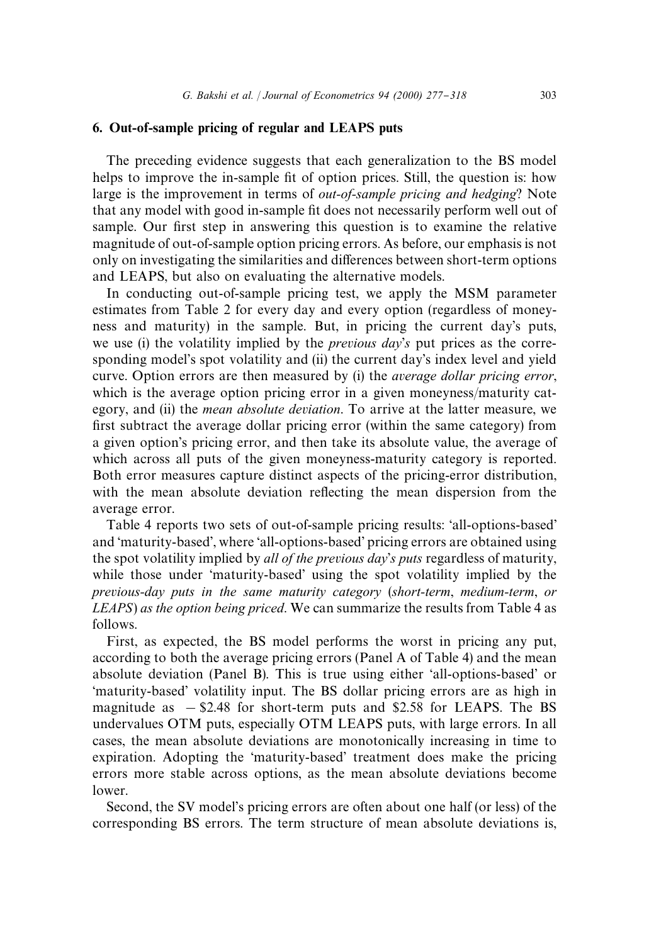## 6. Out-of-sample pricing of regular and LEAPS puts

The preceding evidence suggests that each generalization to the BS model helps to improve the in-sample fit of option prices. Still, the question is: how large is the improvement in terms of *out-of-sample pricing and hedging*? Note that any model with good in-sample fit does not necessarily perform well out of sample. Our first step in answering this question is to examine the relative magnitude of out-of-sample option pricing errors. As before, our emphasis is not only on investigating the similarities and differences between short-term options and LEAPS, but also on evaluating the alternative models.

In conducting out-of-sample pricing test, we apply the MSM parameter estimates from Table 2 for every day and every option (regardless of moneyness and maturity) in the sample. But, in pricing the current day's puts, we use (i) the volatility implied by the *previous day*'*s* put prices as the corresponding model's spot volatility and (ii) the current day's index level and yield curve. Option errors are then measured by (i) the *average dollar pricing error*, which is the average option pricing error in a given moneyness/maturity category, and (ii) the *mean absolute deviation*. To arrive at the latter measure, we first subtract the average dollar pricing error (within the same category) from a given option's pricing error, and then take its absolute value, the average of which across all puts of the given moneyness-maturity category is reported. Both error measures capture distinct aspects of the pricing-error distribution, with the mean absolute deviation reflecting the mean dispersion from the average error.

Table 4 reports two sets of out-of-sample pricing results: 'all-options-based' and 'maturity-based', where 'all-options-based' pricing errors are obtained using the spot volatility implied by *all of the previous day*'*s puts* regardless of maturity, while those under 'maturity-based' using the spot volatility implied by the *previous-day puts in the same maturity category* (*short-term*, *medium-term*, *or LEAPS*) *as the option being priced*. We can summarize the results from Table 4 as follows.

First, as expected, the BS model performs the worst in pricing any put, according to both the average pricing errors (Panel A of Table 4) and the mean absolute deviation (Panel B). This is true using either 'all-options-based' or 'maturity-based' volatility input. The BS dollar pricing errors are as high in magnitude as  $-$  \$2.48 for short-term puts and \$2.58 for LEAPS. The BS undervalues OTM puts, especially OTM LEAPS puts, with large errors. In all cases, the mean absolute deviations are monotonically increasing in time to expiration. Adopting the 'maturity-based' treatment does make the pricing errors more stable across options, as the mean absolute deviations become lower.

Second, the SV model's pricing errors are often about one half (or less) of the corresponding BS errors. The term structure of mean absolute deviations is,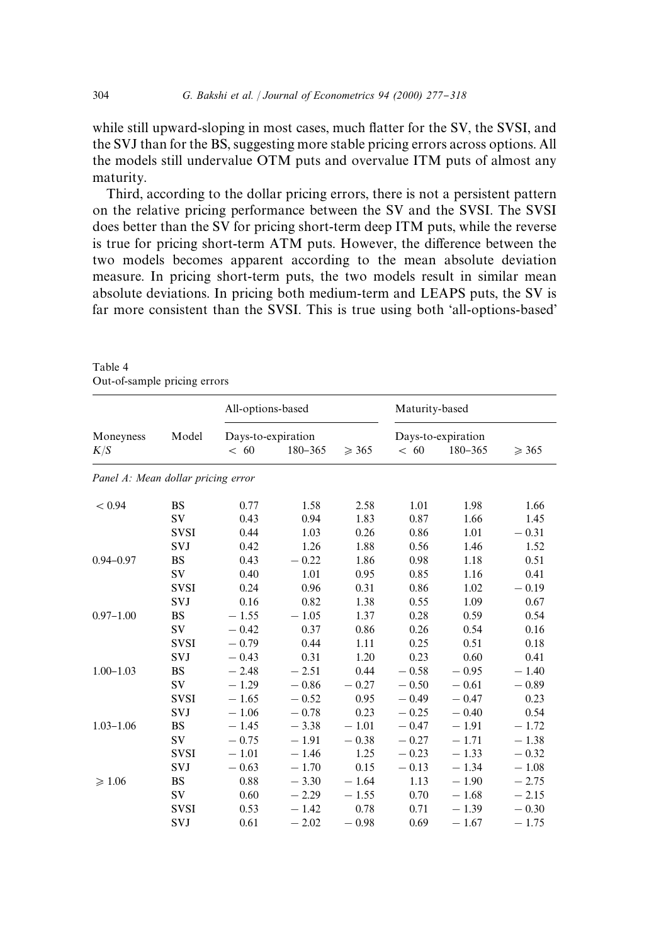while still upward-sloping in most cases, much flatter for the SV, the SVSI, and the SVJ than for the BS, suggesting more stable pricing errors across options. All the models still undervalue OTM puts and overvalue ITM puts of almost any maturity.

Third, according to the dollar pricing errors, there is not a persistent pattern on the relative pricing performance between the SV and the SVSI. The SVSI does better than the SV for pricing short-term deep ITM puts, while the reverse is true for pricing short-term ATM puts. However, the difference between the two models becomes apparent according to the mean absolute deviation measure. In pricing short-term puts, the two models result in similar mean absolute deviations. In pricing both medium-term and LEAPS puts, the SV is far more consistent than the SVSI. This is true using both 'all-options-based'

|                                    |             | All-options-based          |             |                 | Maturity-based |                               |                 |
|------------------------------------|-------------|----------------------------|-------------|-----------------|----------------|-------------------------------|-----------------|
| Moneyness<br>K/S                   | Model       | Days-to-expiration<br>< 60 | $180 - 365$ | $\geqslant$ 365 | < 60           | Days-to-expiration<br>180-365 | $\geqslant$ 365 |
| Panel A: Mean dollar pricing error |             |                            |             |                 |                |                               |                 |
| < 0.94                             | <b>BS</b>   | 0.77                       | 1.58        | 2.58            | 1.01           | 1.98                          | 1.66            |
|                                    | <b>SV</b>   | 0.43                       | 0.94        | 1.83            | 0.87           | 1.66                          | 1.45            |
|                                    | <b>SVSI</b> | 0.44                       | 1.03        | 0.26            | 0.86           | 1.01                          | $-0.31$         |
|                                    | SVJ         | 0.42                       | 1.26        | 1.88            | 0.56           | 1.46                          | 1.52            |
| $0.94 - 0.97$                      | <b>BS</b>   | 0.43                       | $-0.22$     | 1.86            | 0.98           | 1.18                          | 0.51            |
|                                    | SV          | 0.40                       | 1.01        | 0.95            | 0.85           | 1.16                          | 0.41            |
|                                    | <b>SVSI</b> | 0.24                       | 0.96        | 0.31            | 0.86           | 1.02                          | $-0.19$         |
|                                    | <b>SVJ</b>  | 0.16                       | 0.82        | 1.38            | 0.55           | 1.09                          | 0.67            |
| $0.97 - 1.00$                      | <b>BS</b>   | $-1.55$                    | $-1.05$     | 1.37            | 0.28           | 0.59                          | 0.54            |
|                                    | <b>SV</b>   | $-0.42$                    | 0.37        | 0.86            | 0.26           | 0.54                          | 0.16            |
|                                    | <b>SVSI</b> | $-0.79$                    | 0.44        | 1.11            | 0.25           | 0.51                          | 0.18            |
|                                    | SVJ         | $-0.43$                    | 0.31        | 1.20            | 0.23           | 0.60                          | 0.41            |
| $1.00 - 1.03$                      | <b>BS</b>   | $-2.48$                    | $-2.51$     | 0.44            | $-0.58$        | $-0.95$                       | $-1.40$         |
|                                    | SV          | $-1.29$                    | $-0.86$     | $-0.27$         | $-0.50$        | $-0.61$                       | $-0.89$         |
|                                    | <b>SVSI</b> | $-1.65$                    | $-0.52$     | 0.95            | $-0.49$        | $-0.47$                       | 0.23            |
|                                    | SVJ         | $-1.06$                    | $-0.78$     | 0.23            | $-0.25$        | $-0.40$                       | 0.54            |
| $1.03 - 1.06$                      | <b>BS</b>   | $-1.45$                    | $-3.38$     | $-1.01$         | $-0.47$        | $-1.91$                       | $-1.72$         |
|                                    | SV          | $-0.75$                    | $-1.91$     | $-0.38$         | $-0.27$        | $-1.71$                       | $-1.38$         |
|                                    | <b>SVSI</b> | $-1.01$                    | $-1.46$     | 1.25            | $-0.23$        | $-1.33$                       | $-0.32$         |
|                                    | <b>SVJ</b>  | $-0.63$                    | $-1.70$     | 0.15            | $-0.13$        | $-1.34$                       | $-1.08$         |
| $\geqslant$ 1.06                   | <b>BS</b>   | 0.88                       | $-3.30$     | $-1.64$         | 1.13           | $-1.90$                       | $-2.75$         |
|                                    | <b>SV</b>   | 0.60                       | $-2.29$     | $-1.55$         | 0.70           | $-1.68$                       | $-2.15$         |
|                                    | <b>SVSI</b> | 0.53                       | $-1.42$     | 0.78            | 0.71           | $-1.39$                       | $-0.30$         |
|                                    | SVJ         | 0.61                       | $-2.02$     | $-0.98$         | 0.69           | $-1.67$                       | $-1.75$         |

Table 4 Out-of-sample pricing errors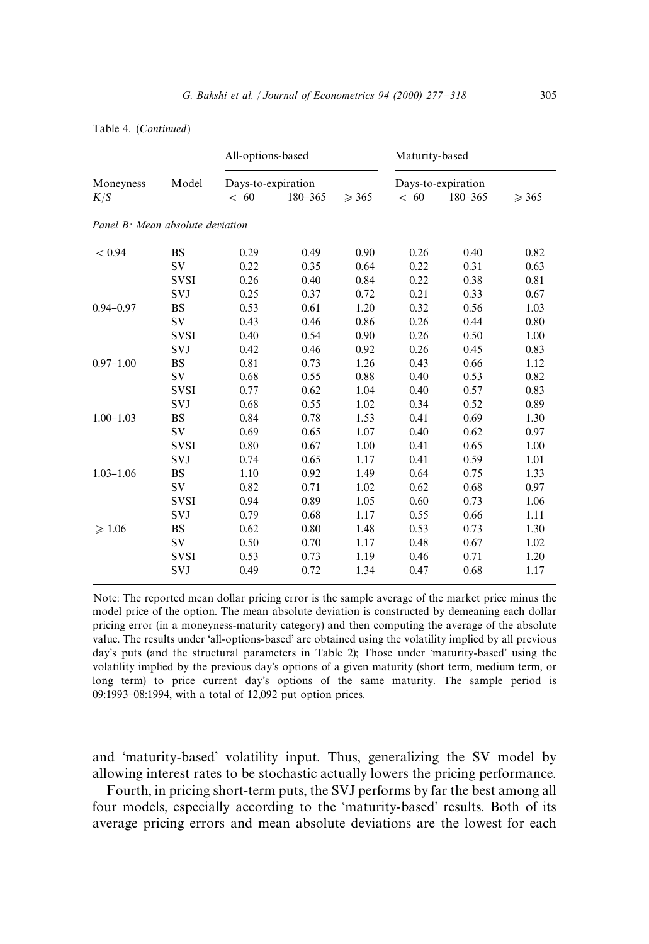|                                  |             | All-options-based          |         |                 | Maturity-based |                               |                 |
|----------------------------------|-------------|----------------------------|---------|-----------------|----------------|-------------------------------|-----------------|
| Moneyness<br>K/S                 | Model       | Days-to-expiration<br>< 60 | 180-365 | $\geqslant$ 365 | < 60           | Days-to-expiration<br>180-365 | $\geqslant$ 365 |
| Panel B: Mean absolute deviation |             |                            |         |                 |                |                               |                 |
| < 0.94                           | <b>BS</b>   | 0.29                       | 0.49    | 0.90            | 0.26           | 0.40                          | 0.82            |
|                                  | SV          | 0.22                       | 0.35    | 0.64            | 0.22           | 0.31                          | 0.63            |
|                                  | <b>SVSI</b> | 0.26                       | 0.40    | 0.84            | 0.22           | 0.38                          | 0.81            |
| $0.94 - 0.97$                    | SVJ         | 0.25                       | 0.37    | 0.72            | 0.21           | 0.33                          | 0.67            |
|                                  | <b>BS</b>   | 0.53                       | 0.61    | 1.20            | 0.32           | 0.56                          | 1.03            |
|                                  | SV          | 0.43                       | 0.46    | 0.86            | 0.26           | 0.44                          | 0.80            |
| $0.97 - 1.00$                    | <b>SVSI</b> | 0.40                       | 0.54    | 0.90            | 0.26           | 0.50                          | 1.00            |
|                                  | <b>SVJ</b>  | 0.42                       | 0.46    | 0.92            | 0.26           | 0.45                          | 0.83            |
|                                  | <b>BS</b>   | 0.81                       | 0.73    | 1.26            | 0.43           | 0.66                          | 1.12            |
|                                  | SV          | 0.68                       | 0.55    | 0.88            | 0.40           | 0.53                          | 0.82            |
|                                  | <b>SVSI</b> | 0.77                       | 0.62    | 1.04            | 0.40           | 0.57                          | 0.83            |
|                                  | <b>SVJ</b>  | 0.68                       | 0.55    | 1.02            | 0.34           | 0.52                          | 0.89            |
| $1.00 - 1.03$                    | <b>BS</b>   | 0.84                       | 0.78    | 1.53            | 0.41           | 0.69                          | 1.30            |
|                                  | SV          | 0.69                       | 0.65    | 1.07            | 0.40           | 0.62                          | 0.97            |
|                                  | <b>SVSI</b> | 0.80                       | 0.67    | 1.00            | 0.41           | 0.65                          | 1.00            |
| $1.03 - 1.06$                    | SVJ         | 0.74                       | 0.65    | 1.17            | 0.41           | 0.59                          | 1.01            |
|                                  | <b>BS</b>   | 1.10                       | 0.92    | 1.49            | 0.64           | 0.75                          | 1.33            |
|                                  | SV          | 0.82                       | 0.71    | 1.02            | 0.62           | 0.68                          | 0.97            |
| $\geqslant$ 1.06                 | <b>SVSI</b> | 0.94                       | 0.89    | 1.05            | 0.60           | 0.73                          | 1.06            |
|                                  | SVJ         | 0.79                       | 0.68    | 1.17            | 0.55           | 0.66                          | 1.11            |
|                                  | BS          | 0.62                       | 0.80    | 1.48            | 0.53           | 0.73                          | 1.30            |
|                                  | SV          | 0.50                       | 0.70    | 1.17            | 0.48           | 0.67                          | 1.02            |
|                                  | <b>SVSI</b> | 0.53                       | 0.73    | 1.19            | 0.46           | 0.71                          | 1.20            |
|                                  | SVJ         | 0.49                       | 0.72    | 1.34            | 0.47           | 0.68                          | 1.17            |

Table 4. (*Continued*)

Note: The reported mean dollar pricing error is the sample average of the market price minus the model price of the option. The mean absolute deviation is constructed by demeaning each dollar pricing error (in a moneyness-maturity category) and then computing the average of the absolute value. The results under 'all-options-based' are obtained using the volatility implied by all previous day's puts (and the structural parameters in Table 2); Those under 'maturity-based' using the volatility implied by the previous day's options of a given maturity (short term, medium term, or long term) to price current day's options of the same maturity. The sample period is 09:1993-08:1994, with a total of 12,092 put option prices.

and 'maturity-based' volatility input. Thus, generalizing the SV model by allowing interest rates to be stochastic actually lowers the pricing performance.

Fourth, in pricing short-term puts, the SVJ performs by far the best among all four models, especially according to the 'maturity-based' results. Both of its average pricing errors and mean absolute deviations are the lowest for each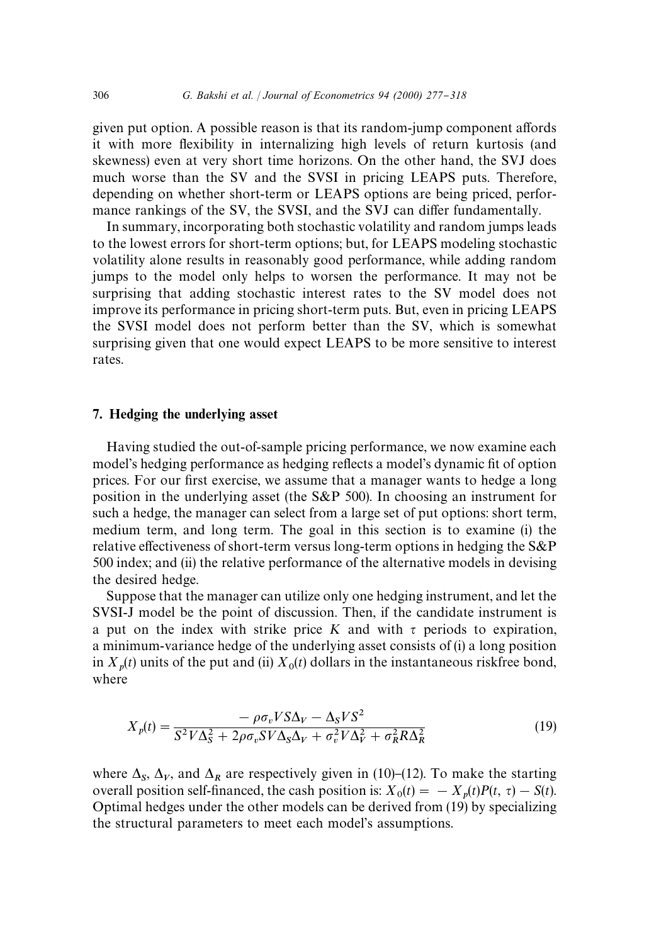given put option. A possible reason is that its random-jump component affords it with more flexibility in internalizing high levels of return kurtosis (and skewness) even at very short time horizons. On the other hand, the SVJ does much worse than the SV and the SVSI in pricing LEAPS puts. Therefore, depending on whether short-term or LEAPS options are being priced, performance rankings of the SV, the SVSI, and the SVJ can differ fundamentally.

In summary, incorporating both stochastic volatility and random jumps leads to the lowest errors for short-term options; but, for LEAPS modeling stochastic volatility alone results in reasonably good performance, while adding random jumps to the model only helps to worsen the performance. It may not be surprising that adding stochastic interest rates to the SV model does not improve its performance in pricing short-term puts. But, even in pricing LEAPS the SVSI model does not perform better than the SV, which is somewhat surprising given that one would expect LEAPS to be more sensitive to interest rates.

## 7. Hedging the underlying asset

Having studied the out-of-sample pricing performance, we now examine each model's hedging performance as hedging reflects a model's dynamic fit of option prices. For our first exercise, we assume that a manager wants to hedge a long position in the underlying asset (the S&P 500). In choosing an instrument for such a hedge, the manager can select from a large set of put options: short term, medium term, and long term. The goal in this section is to examine (i) the relative effectiveness of short-term versus long-term options in hedging the S&P 500 index; and (ii) the relative performance of the alternative models in devising the desired hedge.

Suppose that the manager can utilize only one hedging instrument, and let the SVSI-J model be the point of discussion. Then, if the candidate instrument is a put on the index with strike price  $K$  and with  $\tau$  periods to expiration, a minimum-variance hedge of the underlying asset consists of (i) a long position in  $X_p(t)$  units of the put and (ii)  $X_0(t)$  dollars in the instantaneous riskfree bond, where

$$
X_p(t) = \frac{-\rho \sigma_v V S \Delta_V - \Delta_S V S^2}{S^2 V \Delta_S^2 + 2\rho \sigma_v S V \Delta_S \Delta_V + \sigma_v^2 V \Delta_V^2 + \sigma_R^2 R \Delta_R^2}
$$
(19)

where  $\Delta_S$ ,  $\Delta_V$ , and  $\Delta_R$  are respectively given in (10)–(12). To make the starting overall position self-financed, the cash position is:  $X_0(t) = -X_p(t)P(t, \tau) - S(t)$ . Optimal hedges under the other models can be derived from (19) by specializing the structural parameters to meet each model's assumptions.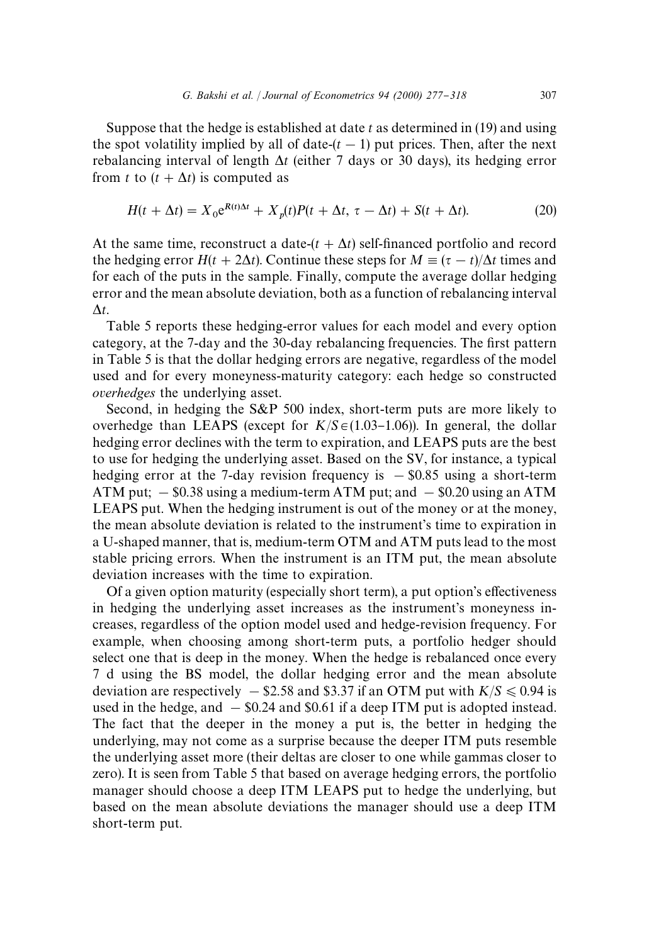Suppose that the hedge is established at date *t* as determined in (19) and using the spot volatility implied by all of date- $(t - 1)$  put prices. Then, after the next rebalancing interval of length  $\Delta t$  (either 7 days or 30 days), its hedging error from *t* to  $(t + \Delta t)$  is computed as

$$
H(t + \Delta t) = X_0 e^{R(t)\Delta t} + X_p(t)P(t + \Delta t, \tau - \Delta t) + S(t + \Delta t). \tag{20}
$$

At the same time, reconstruct a date- $(t + \Delta t)$  self-financed portfolio and record the hedging error  $H(t + 2\Delta t)$ . Continue these steps for  $M = (\tau - t)/\Delta t$  times and for each of the puts in the sample. Finally, compute the average dollar hedging error and the mean absolute deviation, both as a function of rebalancing interval  $\Delta t$ .

Table 5 reports these hedging-error values for each model and every option category, at the 7-day and the 30-day rebalancing frequencies. The first pattern in Table 5 is that the dollar hedging errors are negative, regardless of the model used and for every moneyness-maturity category: each hedge so constructed *overhedges* the underlying asset.

Second, in hedging the S&P 500 index, short-term puts are more likely to overhedge than LEAPS (except for  $K/S \in (1.03-1.06)$ ). In general, the dollar hedging error declines with the term to expiration, and LEAPS puts are the best to use for hedging the underlying asset. Based on the SV, for instance, a typical hedging error at the 7-day revision frequency is  $-$  \$0.85 using a short-term ATM put;  $-$  \$0.38 using a medium-term ATM put; and  $-$  \$0.20 using an ATM LEAPS put. When the hedging instrument is out of the money or at the money, the mean absolute deviation is related to the instrument's time to expiration in a U-shaped manner, that is, medium-term OTM and ATM puts lead to the most stable pricing errors. When the instrument is an ITM put, the mean absolute deviation increases with the time to expiration.

Of a given option maturity (especially short term), a put option's effectiveness in hedging the underlying asset increases as the instrument's moneyness increases, regardless of the option model used and hedge-revision frequency. For example, when choosing among short-term puts, a portfolio hedger should select one that is deep in the money. When the hedge is rebalanced once every 7 d using the BS model, the dollar hedging error and the mean absolute deviation are respectively  $-$  \$2.58 and \$3.37 if an OTM put with  $K/S \le 0.94$  is used in the hedge, and  $-$  \$0.24 and \$0.61 if a deep ITM put is adopted instead. The fact that the deeper in the money a put is, the better in hedging the underlying, may not come as a surprise because the deeper ITM puts resemble the underlying asset more (their deltas are closer to one while gammas closer to zero). It is seen from Table 5 that based on average hedging errors, the portfolio manager should choose a deep ITM LEAPS put to hedge the underlying, but based on the mean absolute deviations the manager should use a deep ITM short-term put.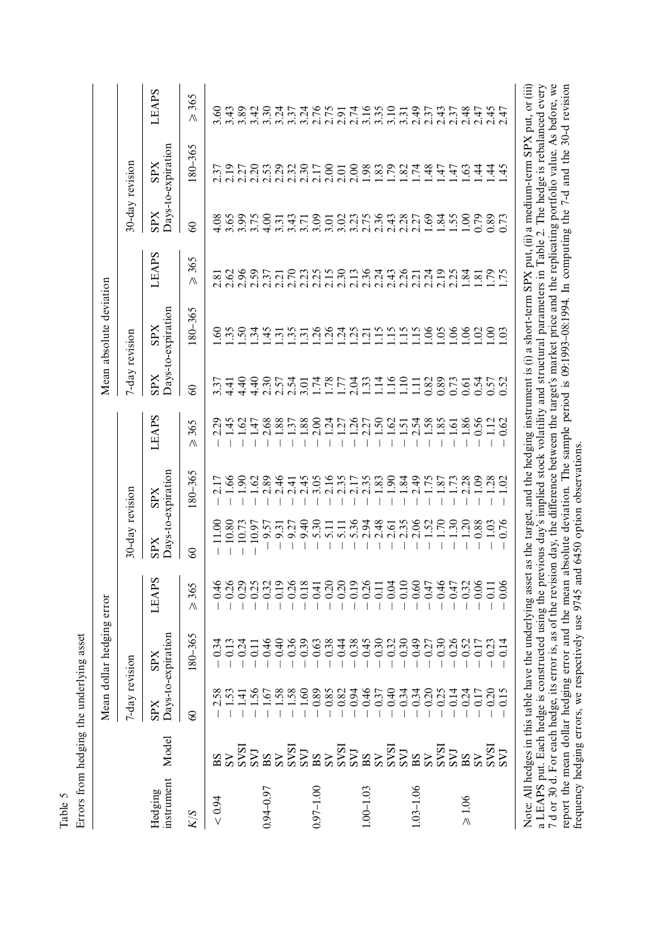7 d or 30 d. For each hedge, its error is, as of the revision day, the difference between the target's market price and the replicating portfolio value. As before, we Note: All hedges in this table have the underlying asset as the target, and the hedging instrument is (i) a short-term SPX put, (ii) a medium-term SPX put, or (iii) Note: All hedges in this table have the underlying asset as the target, and the hedging instrument is (i) a short-term SPX put, (ii) a medium-term SPX put, or (iii) a LEAPS put. Each hedge is constructed using the previous day's implied stock volatility and structural parameters in Table 2. The hedge is rebalanced every a LEAPS put. Each hedge is constructed using the previous day's implied stock volatility and structural parameters in Table 2. The hedge is rebalanced every 7 d or 30 d. For each hedge, its error is, as of the revision day, the difference between the target's market price and the replicating portfolio value. As before, we **CARS** Hedging SPX SPX LEAPS SPX SPX LEAPS SPX SPX LEAPS SPX SPX LEAPS 365 596´Λ 596´-081 09 596´Λ 596´-081 09 596´Λ 596´-081 09 596´Λ 596´Δ 507´Λ 596´-081 09  $\begin{array}{c} 3.758 \\ 0.0170 \\ 0.0000 \\ 0.0000 \\ 0.0000 \\ 0.0000 \\ 0.0000 \\ 0.0000 \\ 0.0000 \\ 0.0000 \\ 0.0000 \\ 0.0000 \\ 0.0000 \\ 0.0000 \\ 0.0000 \\ 0.0000 \\ 0.0000 \\ 0.0000 \\ 0.0000 \\ 0.0000 \\ 0.0000 \\ 0.0000 \\ 0.0000 \\ 0.0000 \\ 0.0000 \\ 0.0000 \\ 0.000$  $2.49$ <br> $2.37$ <br> $2.43$ 3.43 88.9 3.42  $3.30$ 3.24 2.37 2.48 2.47  $2.45$  $2.47$  $< 0.94$   $-2.58$   $-2.58$   $-0.34$   $-0.17$   $-2.29$   $-2.37$   $-2.37$   $-2.37$   $-2.37$   $-2.37$  $\text{SN}$   $-1.53$   $-0.13$   $-0.26$   $-1.66$   $-1.45$   $4.41$   $1.35$   $1.35$   $2.62$   $3.65$   $2.19$   $2.19$ SVSI !1.41 !1.41 !1.41 !1.62 !1.62 !1.62 !1.62 !1.62 !1.62 !1.62 !1.62 !1.62 !1.62 !1.62 !1.62.7 2.27 2.27 2.27  $\text{SVD}$   $-1.56$   $-1.56$   $-1.52$   $-1.62$   $-1.62$   $-1.62$   $-1.63$   $-1.64$   $-1.47$   $-1.47$   $-1.47$   $-1.34$   $-1.34$  $\frac{0.97}{0.970}$   $\frac{0.97}{0.97}$   $\frac{0.75}{0.910}$   $\frac{0.37}{0.37}$   $\frac{0.37}{0.37}$   $\frac{0.37}{0.37}$   $\frac{0.37}{0.37}$   $\frac{0.37}{0.37}$   $\frac{0.37}{0.37}$  $\text{SN}$   $-1.58$   $-1.58$   $-1.98$   $-1.91$   $-2.57$   $-1.57$   $-1.57$   $-1.57$   $-1.57$   $-1.57$   $-1.57$   $-1.57$   $-1.57$   $-1.57$  $SVSI$   $-1.58$   $-0.36$   $-0.26$   $-2.41$   $-1.37$   $2.54$  1.35 2.70 3.43 2.32 3.37  $SSUJ = -0.60$   $-0.39$   $-0.18$   $-0.18$   $-0.131$   $-0.131$   $-0.131$   $-0.23$   $-0.33$   $-0.30$   $-0.30$ 0.97}1.00 BS !0.89 !0.63 !0.41 !5.30 !3.05 !2.00 1.74 1.26 2.25 3.09 2.17 2.76  $\text{SN}$   $-0.38$   $-0.38$   $-0.38$   $-1.511$   $-2.16$   $-1.24$   $-1.24$   $-1.24$   $-1.26$   $-1.26$   $-1.26$   $-1.26$   $-1.26$   $-1.26$   $-1.26$   $-1.26$   $-1.26$   $-1.26$   $-1.26$   $-1.26$   $-1.26$   $-1.26$   $-1.26$   $-1.26$   $-1.26$   $-1.26$   $-1.$  $\text{SNS1} \qquad -0.82 \qquad -0.44 \qquad -0.20 \qquad -5.11 \qquad -5.15 \qquad 1.77 \qquad 1.77 \qquad 1.24 \qquad 2.30 \qquad 2.02 \qquad 2.01 \qquad 2.91$  $\text{SNJ}$   $-0.94$   $-0.19$   $-5.36$   $-2.17$   $-1.26$   $2.04$   $1.25$   $2.13$   $2.13$   $3.23$   $2.3$   $2.00$   $2.74$ 1.00}1.03 BS !0.46 !0.45 !0.26 !2.94 !2.35 !2.27 1.33 1.21 2.36 2.75 1.98 3.16  $\text{SN}$   $-0.37$   $-0.30$   $-0.11$   $-1.83$   $-1.83$   $-1.14$   $1.14$   $1.15$   $1.15$   $1.15$   $-2.24$   $-2.36$   $1.83$  $\frac{1}{2}$   $\frac{1}{2}$   $\frac{1}{2}$   $\frac{1}{2}$   $\frac{1}{2}$   $\frac{1}{2}$   $\frac{1}{2}$   $\frac{1}{2}$   $\frac{1}{2}$   $\frac{1}{2}$   $\frac{1}{2}$   $\frac{1}{2}$   $\frac{1}{2}$   $\frac{1}{2}$   $\frac{1}{2}$   $\frac{1}{2}$   $\frac{1}{2}$   $\frac{1}{2}$   $\frac{1}{2}$   $\frac{1}{2}$   $\frac{1}{2}$   $\frac{1}{2}$   $\text{SNI} = \begin{bmatrix} 0.34 & -0.30 & -0.30 & -0.35 \\ 0.30 & -0.35 & -1.84 & -1.51 & 1.15 \\ 0.30 & -0.35 & -0.35 & -1.51 & 1.15 \\ 0.31 & 0.31 & 0.32 & 1.82 \\ 0.31 & 0.32 & 0.31 & 1.84 \\ 0.33 & 0.33 & 0.33 & 1.84 \\ 0.34 & 0.$  $1.031 \pm 0.06$  BS  $1.08$  BS  $1.1 \pm 0.34$   $-0.06$   $-0.06$   $-0.34$   $-0.34$   $-0.34$   $-0.31$   $-0.21$   $-0.27$   $-0.27$   $-0.27$  $\text{SN}$   $\begin{bmatrix} 0.20 & -0.20 & 0.20 \\ 0.20 & 0.20 & 0.24 \end{bmatrix}$   $\begin{bmatrix} 0.27 & 0.24 & 0.24 \\ 0.21 & 0.24 & 0.24 \end{bmatrix}$ ASSI 1.47 !1.84 !1.95 !0.46 !1.70 !1.87 !2.1.87 !2.1.95 !2.1.95 !2.1.95 !2.1.95 !2.1.95 !2.1.95 !2.1  $\text{SVI} \quad -0.14 \quad -0.26 \quad -0.47 \quad -1.30 \quad -1.73 \quad -1.61 \quad 0.73 \quad 1.66 \quad 2.25 \quad 1.55 \quad 1.47 \quad 2.37$ \*2.06 BS \$1.06 !1.24 !1.84 !1.84 !1.87 !1.20 !1.20 !1.20 !1.20 !1.20 !1.20 !1.87 !1.85 !1.85 !1.85 !1.87 !1.85 SV !0.17 !0.17 !0.06 !0.88 !1.09 !0.56 0.54 1.02 1.81 0.79 1.44 2.47 SVSI !0.20 !0.23 !0.11 !1.03 !1.28 !1.12 0.57 1.00 1.79 0.89 1.44 2.45 SVJ !0.15 !0.14 !0.06 !0.76 !1.02 !0.62 0.52 1.03 1.75 0.73 1.45 2.47 Ŵ Days-to-expiration instrument Model Days-to-expiration Days-to-expiration Days-to-expiration Days-to-expiration  $80 - 365$ 80-day revision 7-day revision 30-day revision 7-day revision 30-day revision **SPX** 2.27 2.20 2.53 2.32 2.30 2.17 2.01  $98992778$  $\overline{147}$ 1.47 1.63  $\overline{4}$  $1.45$  $\dot{4}$ SPX 3.65<br>3.375<br>4.3 3.31  $2220$ <br> $1.69$ <br> $1.84$  $1.55$ 0.79 3.71  $\overline{6}$ 0.89  $0.73$  $\infty$ **LEAPS** 365 2.62  $2.96$  $2.59$ 2.37<br>2.21<br>2.70 2.23 2.25<br>2.15 2.13 2343 22149<br>22149  $2.25$  $1.84$ 1875  $2.81$  $\overline{\wedge}$ Mean absolute deviation Mean dollar hedging error Mean absolute deviation Days-to-expiration 80-365 **SPX** ទុងទង  $45$  $\ddot{35}$  $\ddot{31}$  $333399999998$  $05$  $68$  $\ddot{3}$  $\widetilde{\mathcal{C}}$  $\mathcal{S}$  $\ddot{\mathrm{c}}$ 7-day revision SPX 4.40 4.40  $10$ 0.89  $0.57$ 3.37  $4.41$  $2.30$  $2.57$  $2.54$ 3.01  $\vec{r}$  $.78$ 77 2.04  $\ddot{3}$  $\frac{4}{11}$  $-16$  $\Xi$ 0.82 0.73 0.61  $0.54$  $0.52$  $\overline{60}$  $-1.27$ LEAPS  $\geqslant 365$  $-1.62$  $-1.47$  $-2.68$  $-1.88$  $-1.37$  $-1.88$  $-2.00$  $-1.50$  $-1.62$  $-2.54$  $-1.58$  $-1.85$  $-1.86$  $-0.56$  $-1.12$  $-0.62$ 2.29  $-1.45$ 1.24 1.26 2.27  $-1.51$  $-1.61$  $\overline{1}$  $\overline{1}$ ï Days-to-expiration 80-365  $-1.66$  $-1.62$  $-1.83$  $-1.90$  $-1.84$ 2.49  $-1.87$  $-1.73$ 2.28  $-1.09$  $-1.28$ 2.17  $-1.90$ 2.89 2.46 2.41  $2.45$ 3.05 2.16  $2.35$ 2.17  $2.35$ 1.75  $1.02$ 80-day revision SPX ī  $\overline{1}$ Ĭ Ĭ Ĭ Ĭ ï ï ï ï  $\overline{1}$  $\overline{1}$  $\overline{1}$  $\overline{1}$  $-9.40$ 2.48 2.35  $-1.70$  $-0.88$ 10.80 10.73 10.97  $-9.57$  $-9.31$  $-9.27$ 5.30 5.11 5.36 2.94 2.61 2.06  $-1.52$  $-1.30$  $-1.20$  $-1.03$  $-0.76$ 5.11  $-11.00$ SPX Ť  $\overline{1}$  $\overline{1}$  $\overline{1}$  $\overline{1}$  $\overline{1}$  $\overline{1}$  $\overline{\phantom{a}}$ Ï ī 7 ī  $\otimes$ **FAPS**  $-0.26$  $-0.29$  $-0.25$  $-0.32$  $0.19$  $-0.26$  $-0.18$  $-0.41$  $-0.20$  $-0.20$  $-0.19$  $-0.26$  $-0.11$  $-0.04$  $-0.10$  $-0.60$  $-0.47$  $-0.46$  $-0.47$  $-0.32$  $-0.06$  $-0.06$ 365  $0.46$  $0.11$ Mean dollar hedging error Ŵ Errors from hedging the underlying asset Days-to-expiration  $80 - 365$ Errors from hedging the underlying asset  $-0.39$  $-0.38$  $-0.38$  $-0.45$  $-0.30$  $-0.32$  $-0.30$  $-0.49$  $-0.27$  $-0.30$  $-0.17$  $-0.34$  $-0.13$  $-0.24$  $-0.11$  $-0.46$  $-0.40$  $-0.36$  $-0.63$  $-0.44$  $-0.26$  $-0.52$  $-0.23$  $-0.14$ **SPX** 7-day revision  $-1.53$  $-1.56$  $-1.67$  $-1.58$  $-1.58$  $-1.60$  $-0.89$  $-0.85$  $-0.82$  $-0.94$  $-0.46$  $-0.37$  $-0.40$  $-0.34$  $-0.20$  $-0.25$  $0.14$  $0.17$  $0.20$ 2.58  $-1.41$  $-0.34$  $-0.24$  $0.15$ SPX  $\mathcal{S}$  $\overline{1}$ Model **SVSI SVSI** SVSI **SVSI** SVSI **ESAS SVJ** SVJ SVJ  $N_{\rm J}$ **SVJ** SVJ  $\frac{88}{58}$  $\frac{SS}{SS}$  $\frac{8}{28}$  $\frac{8}{28}$  $\frac{8}{28}$  $\mathbf{S}^{\mathbf{V}}$  $\overline{3S}$ nstrument Hedging  $0.94 - 0.97$  $0.97 - 1.00$  $.00 - 1.03$  $.03 - 1.06$  $\geqslant 1.06$  $< 0.94$ K/S

report the mean dollar hedging error and the mean absolute deviation. The sample period is 09:1993}08:1994. In computing the 7-d and the 30-d revision

report the mean dollar hedging error and the mean absolute deviation. The sample period is 09:1993-08:1994. In computing the 7-d and the 30-d revision

frequency hedging errors, we respectively use 9745 and 6450 option observations.

requency hedging errors, we respectively use 9745 and 6450 option observations.

Table 5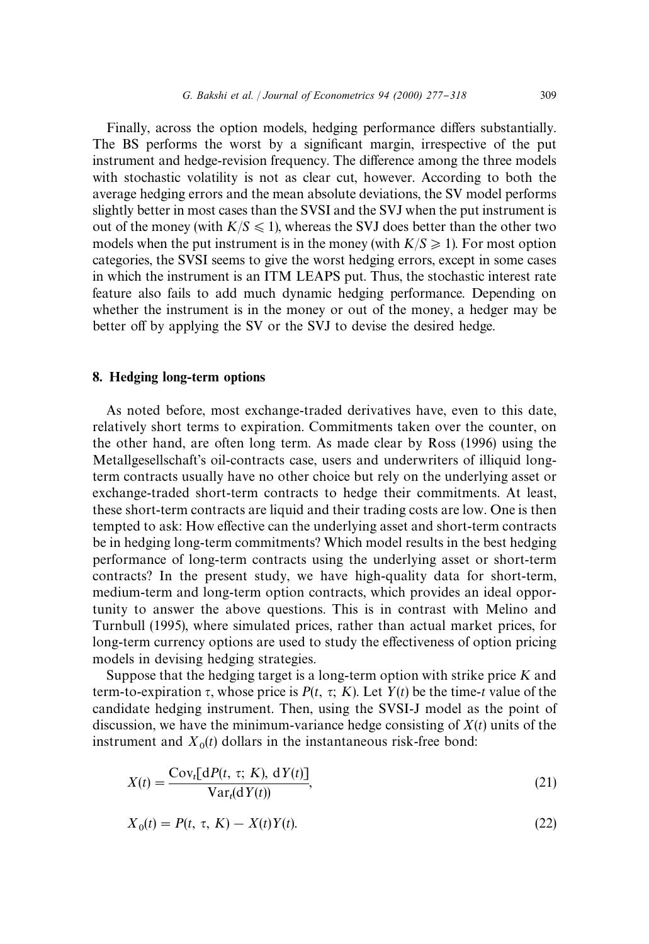Finally, across the option models, hedging performance differs substantially. The BS performs the worst by a significant margin, irrespective of the put instrument and hedge-revision frequency. The difference among the three models with stochastic volatility is not as clear cut, however. According to both the average hedging errors and the mean absolute deviations, the SV model performs slightly better in most cases than the SVSI and the SVJ when the put instrument is out of the money (with  $K/S \le 1$ ), whereas the SVJ does better than the other two models when the put instrument is in the money (with  $K/S \ge 1$ ). For most option categories, the SVSI seems to give the worst hedging errors, except in some cases in which the instrument is an ITM LEAPS put. Thus, the stochastic interest rate feature also fails to add much dynamic hedging performance. Depending on whether the instrument is in the money or out of the money, a hedger may be better off by applying the SV or the SVJ to devise the desired hedge.

#### 8. Hedging long-term options

As noted before, most exchange-traded derivatives have, even to this date, relatively short terms to expiration. Commitments taken over the counter, on the other hand, are often long term. As made clear by Ross (1996) using the Metallgesellschaft's oil-contracts case, users and underwriters of illiquid longterm contracts usually have no other choice but rely on the underlying asset or exchange-traded short-term contracts to hedge their commitments. At least, these short-term contracts are liquid and their trading costs are low. One is then tempted to ask: How effective can the underlying asset and short-term contracts be in hedging long-term commitments? Which model results in the best hedging performance of long-term contracts using the underlying asset or short-term contracts? In the present study, we have high-quality data for short-term, medium-term and long-term option contracts, which provides an ideal opportunity to answer the above questions. This is in contrast with Melino and Turnbull (1995), where simulated prices, rather than actual market prices, for long-term currency options are used to study the effectiveness of option pricing models in devising hedging strategies.

Suppose that the hedging target is a long-term option with strike price *K* and term-to-expiration  $\tau$ , whose price is  $P(t, \tau; K)$ . Let  $Y(t)$  be the time-*t* value of the candidate hedging instrument. Then, using the SVSI-J model as the point of discussion, we have the minimum-variance hedge consisting of  $X(t)$  units of the instrument and  $X_0(t)$  dollars in the instantaneous risk-free bond:

$$
X(t) = \frac{\text{Cov}_{t}[dP(t, \tau; K), dY(t)]}{\text{Var}_{t}(dY(t))},
$$
\n(21)

$$
X_0(t) = P(t, \tau, K) - X(t)Y(t).
$$
\n(22)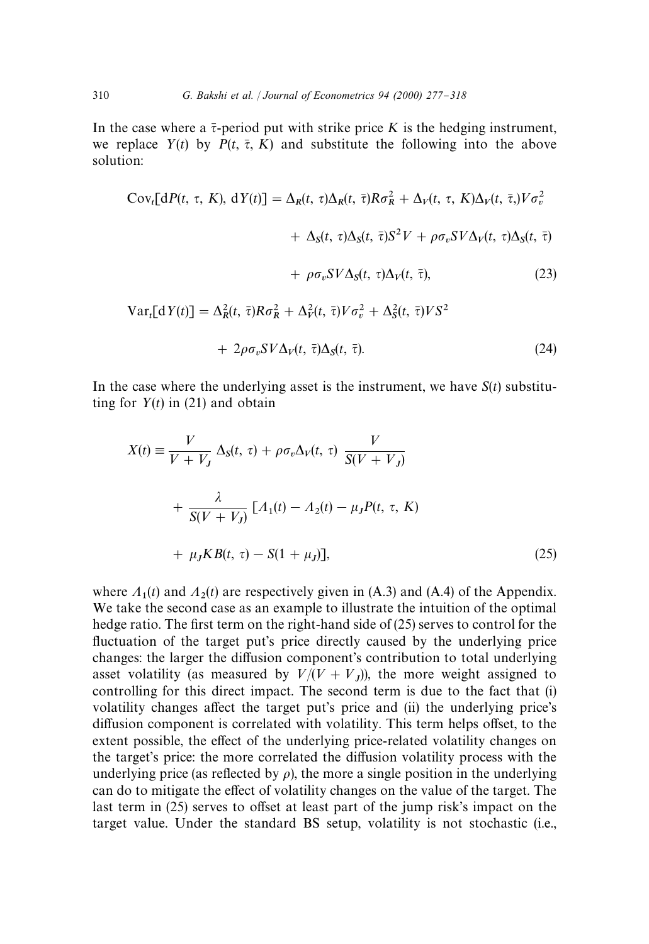In the case where a  $\bar{\tau}$ -period put with strike price *K* is the hedging instrument, we replace  $Y(t)$  by  $P(t, \bar{\tau}, K)$  and substitute the following into the above solution:

$$
Cov_t[dP(t, \tau, K), dY(t)] = \Delta_R(t, \tau)\Delta_R(t, \bar{\tau})R\sigma_R^2 + \Delta_V(t, \tau, K)\Delta_V(t, \bar{\tau})V\sigma_v^2
$$

$$
+ \Delta_S(t, \tau)\Delta_S(t, \bar{\tau})S^2V + \rho\sigma_vSV\Delta_V(t, \tau)\Delta_S(t, \bar{\tau})
$$

$$
+ \rho\sigma_vSV\Delta_S(t, \tau)\Delta_V(t, \bar{\tau}), \qquad (23)
$$

$$
Var_t[dY(t)] = \Delta_R^2(t, \bar{\tau})R\sigma_R^2 + \Delta_V^2(t, \bar{\tau})V\sigma_v^2 + \Delta_S^2(t, \bar{\tau})VS^2
$$

+ 
$$
2\rho\sigma_v SV\Delta_v(t, \bar{\tau})\Delta_s(t, \bar{\tau}).
$$
 (24)

In the case where the underlying asset is the instrument, we have  $S(t)$  substituting for  $Y(t)$  in (21) and obtain

$$
X(t) \equiv \frac{V}{V + V_J} \Delta_S(t, \tau) + \rho \sigma_v \Delta_V(t, \tau) \frac{V}{S(V + V_J)}
$$
  
+ 
$$
\frac{\lambda}{S(V + V_J)} [A_1(t) - A_2(t) - \mu_J P(t, \tau, K)
$$
  
+ 
$$
\mu_J K B(t, \tau) - S(1 + \mu_J)],
$$
 (25)

where  $A_1(t)$  and  $A_2(t)$  are respectively given in (A.3) and (A.4) of the Appendix. We take the second case as an example to illustrate the intuition of the optimal hedge ratio. The first term on the right-hand side of  $(25)$  serves to control for the fluctuation of the target put's price directly caused by the underlying price changes: the larger the diffusion component's contribution to total underlying asset volatility (as measured by  $V/(V + V_J)$ ), the more weight assigned to controlling for this direct impact. The second term is due to the fact that (i) volatility changes affect the target put's price and (ii) the underlying price's diffusion component is correlated with volatility. This term helps offset, to the extent possible, the effect of the underlying price-related volatility changes on the target's price: the more correlated the diffusion volatility process with the underlying price (as reflected by  $\rho$ ), the more a single position in the underlying can do to mitigate the effect of volatility changes on the value of the target. The last term in  $(25)$  serves to offset at least part of the jump risk's impact on the target value. Under the standard BS setup, volatility is not stochastic (i.e.,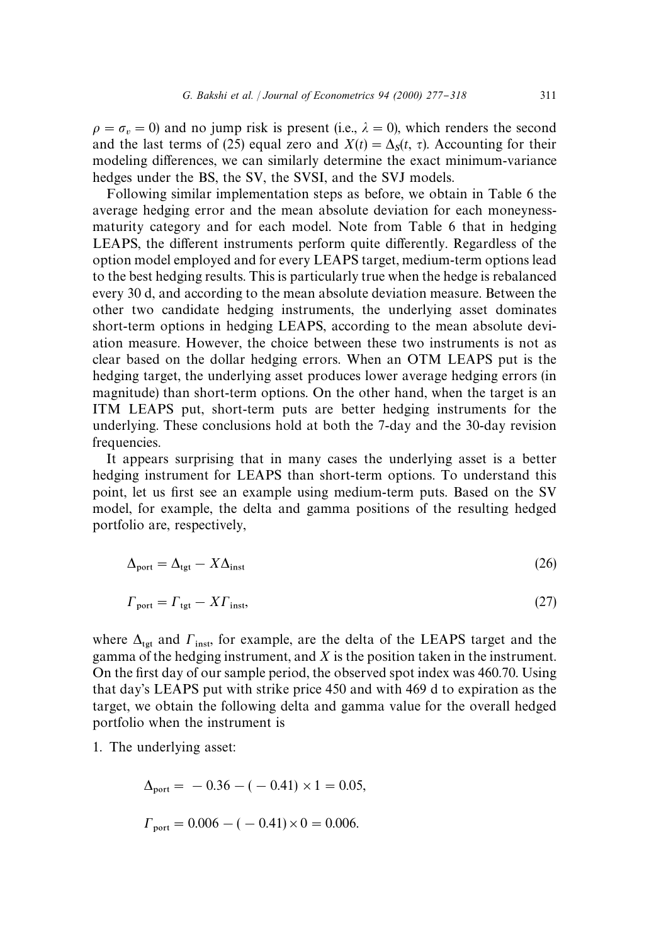$\rho = \sigma_v = 0$ ) and no jump risk is present (i.e.,  $\lambda = 0$ ), which renders the second and the last terms of (25) equal zero and  $X(t) = \Delta_S(t, \tau)$ . Accounting for their modeling differences, we can similarly determine the exact minimum-variance hedges under the BS, the SV, the SVSI, and the SVJ models.

Following similar implementation steps as before, we obtain in Table 6 the average hedging error and the mean absolute deviation for each moneynessmaturity category and for each model. Note from Table 6 that in hedging LEAPS, the different instruments perform quite differently. Regardless of the option model employed and for every LEAPS target, medium-term options lead to the best hedging results. This is particularly true when the hedge is rebalanced every 30 d, and according to the mean absolute deviation measure. Between the other two candidate hedging instruments, the underlying asset dominates short-term options in hedging LEAPS, according to the mean absolute deviation measure. However, the choice between these two instruments is not as clear based on the dollar hedging errors. When an OTM LEAPS put is the hedging target, the underlying asset produces lower average hedging errors (in magnitude) than short-term options. On the other hand, when the target is an ITM LEAPS put, short-term puts are better hedging instruments for the underlying. These conclusions hold at both the 7-day and the 30-day revision frequencies.

It appears surprising that in many cases the underlying asset is a better hedging instrument for LEAPS than short-term options. To understand this point, let us first see an example using medium-term puts. Based on the SV model, for example, the delta and gamma positions of the resulting hedged portfolio are, respectively,

$$
\Delta_{\text{port}} = \Delta_{\text{tgt}} - X\Delta_{\text{inst}} \tag{26}
$$

$$
\Gamma_{\text{port}} = \Gamma_{\text{tgt}} - X\Gamma_{\text{inst}},\tag{27}
$$

where  $\Delta_{\text{tot}}$  and  $\Gamma_{\text{inst}}$ , for example, are the delta of the LEAPS target and the gamma of the hedging instrument, and *X* is the position taken in the instrument. On the first day of our sample period, the observed spot index was  $460.70$ . Using that day's LEAPS put with strike price 450 and with 469 d to expiration as the target, we obtain the following delta and gamma value for the overall hedged portfolio when the instrument is

1. The underlying asset:

$$
\Delta_{\text{port}} = -0.36 - (-0.41) \times 1 = 0.05,
$$
  
\n
$$
\Gamma_{\text{port}} = 0.006 - (-0.41) \times 0 = 0.006.
$$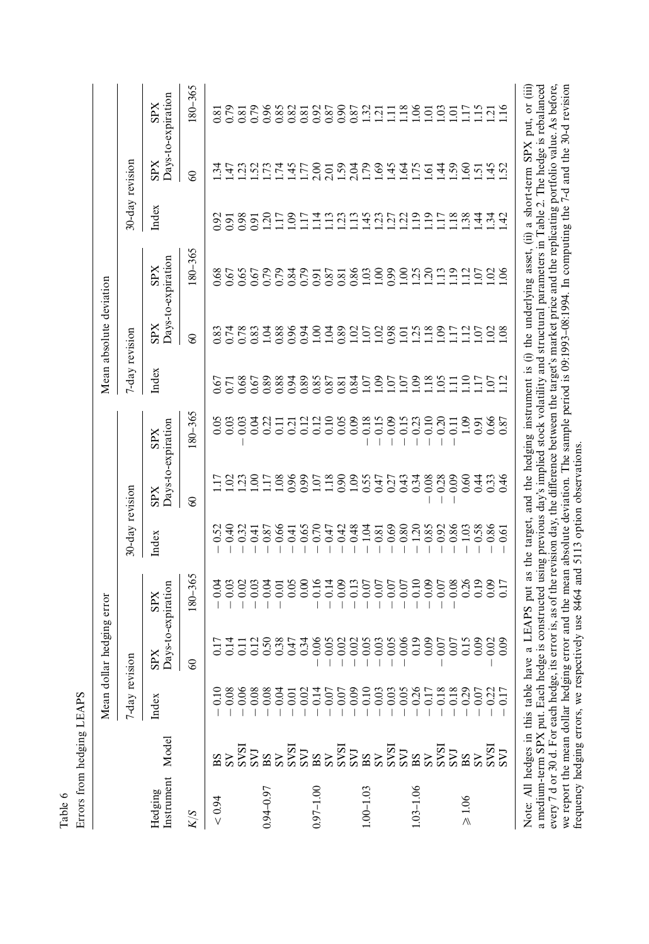Errors from hedging LEAPS Errors from hedging LEAPS Table 6

 $\overline{\phantom{a}}$ 

|                                                          | Mea                                                                                                                                                                                                                                                                                                                                              | n dollar hedging error                        |                                                                                  |                 |                                  |                      |                          | Mean absolute deviation |                                                                                                                                                                                                                                                                                                                                                                                                                                                      |                   |                             |                                  |
|----------------------------------------------------------|--------------------------------------------------------------------------------------------------------------------------------------------------------------------------------------------------------------------------------------------------------------------------------------------------------------------------------------------------|-----------------------------------------------|----------------------------------------------------------------------------------|-----------------|----------------------------------|----------------------|--------------------------|-------------------------|------------------------------------------------------------------------------------------------------------------------------------------------------------------------------------------------------------------------------------------------------------------------------------------------------------------------------------------------------------------------------------------------------------------------------------------------------|-------------------|-----------------------------|----------------------------------|
|                                                          | $7-da$                                                                                                                                                                                                                                                                                                                                           | y revision                                    |                                                                                  | 30-day revision |                                  |                      | 7-day revision           |                         |                                                                                                                                                                                                                                                                                                                                                                                                                                                      | 30-day revision   |                             |                                  |
| Hedging<br>Instrument Model                              | Index                                                                                                                                                                                                                                                                                                                                            | Days-to-expiration<br><b>SPX</b>              | <b>SPX</b>                                                                       | Index           | Days-to-expiration<br><b>SPX</b> | <b>SPX</b>           | Index                    | ŠРХ                     | Oays-to-expiration<br><b>SPX</b>                                                                                                                                                                                                                                                                                                                                                                                                                     | Index             | XdS                         | Days-to-expiration<br><b>SPX</b> |
| K/S                                                      |                                                                                                                                                                                                                                                                                                                                                  | $\infty$                                      | $80 - 365$                                                                       |                 | $\infty$                         | $80 - 365$           |                          | $\infty$                | $80 - 365$                                                                                                                                                                                                                                                                                                                                                                                                                                           |                   | $\infty$                    | $180 - 365$                      |
| < 0.94                                                   |                                                                                                                                                                                                                                                                                                                                                  |                                               | 0.04<br>0.03<br>$\mathbf{I}$                                                     | 0.40<br>0.52    | Š                                | $\frac{0.05}{0.03}$  | 0.67<br>0.71             |                         | 0.68                                                                                                                                                                                                                                                                                                                                                                                                                                                 | 0.92<br>0.91      | 47<br>ર્સ                   | $\frac{620}{180}$                |
|                                                          | $\begin{array}{c c} 0.80 & 0.80 & 0.70 & 0.70 \\ -0.00 & 0.00 & 0.00 & 0.00 \\ -0.00 & 0.00 & 0.00 & 0.00 \\ \hline \end{array}$                                                                                                                                                                                                                 | 111188<br>000000                              | 0.02<br>$\overline{1}$                                                           | 0.32            |                                  |                      |                          | 33783388<br>000001000   |                                                                                                                                                                                                                                                                                                                                                                                                                                                      | 0.98              |                             | 0.81                             |
| 160-160                                                  |                                                                                                                                                                                                                                                                                                                                                  |                                               | 0.03<br>0.04                                                                     | 0.87<br>0.41    | 1301386                          | sa sa manggalo sa    | 0.67<br>0.68884<br>0.000 |                         |                                                                                                                                                                                                                                                                                                                                                                                                                                                      | 5355<br>2355      | 388748                      |                                  |
|                                                          |                                                                                                                                                                                                                                                                                                                                                  |                                               | 0.01<br>$\mathbf{I}$                                                             | 0.66            |                                  |                      |                          |                         |                                                                                                                                                                                                                                                                                                                                                                                                                                                      |                   |                             | $0.82$<br>0.82                   |
|                                                          |                                                                                                                                                                                                                                                                                                                                                  | 0.47                                          | 0.05                                                                             | 0.41            |                                  |                      |                          |                         |                                                                                                                                                                                                                                                                                                                                                                                                                                                      |                   |                             |                                  |
|                                                          | $-0.02$                                                                                                                                                                                                                                                                                                                                          | 0.34                                          | 0.00                                                                             | 0.65            | 0.99                             |                      | 0.89                     |                         |                                                                                                                                                                                                                                                                                                                                                                                                                                                      | 1.17              | 1.77                        |                                  |
| $0.97 - 1.00$                                            | $-0.14$                                                                                                                                                                                                                                                                                                                                          | 0.06<br>0.05<br>T<br>$\overline{\phantom{a}}$ | 0.16<br>0.14                                                                     | 0.70<br>0.47    | 1078885577                       |                      |                          | 383895885839            |                                                                                                                                                                                                                                                                                                                                                                                                                                                      | 1.14<br>1.13      | 2.00<br>2.01                | 838883111388181                  |
|                                                          | $\begin{array}{c} 0.07 \\ -0.009 \\ -0.000 \\ -0.000 \\ -0.000 \\ -0.000 \\ -0.01 \\ -0.01 \\ -0.01 \\ -0.17 \\ -0.17 \\ -0.17 \\ -0.17 \\ -0.17 \\ -0.17 \\ -0.17 \\ -0.17 \\ -0.17 \\ -0.17 \\ -0.17 \\ -0.17 \\ -0.17 \\ -0.17 \\ -0.17 \\ -0.17 \\ -0.17 \\ -0.17 \\ -0.17 \\ -0.17 \\ -0.17 \\ -0.17 \\ -0.17 \\ -0.17 \\ -0.17 \\ -0.1$    | $-0.02$                                       | 0.09                                                                             | 0.42            |                                  |                      |                          |                         |                                                                                                                                                                                                                                                                                                                                                                                                                                                      |                   |                             |                                  |
|                                                          |                                                                                                                                                                                                                                                                                                                                                  | $-0.02$                                       | 0.13                                                                             | 0.48            |                                  |                      |                          |                         |                                                                                                                                                                                                                                                                                                                                                                                                                                                      |                   |                             |                                  |
| $1.00 - 1.03$                                            |                                                                                                                                                                                                                                                                                                                                                  | 0.05<br>$\overline{1}$                        | 0.07                                                                             | 1.04            |                                  | 0.18                 |                          |                         |                                                                                                                                                                                                                                                                                                                                                                                                                                                      |                   |                             |                                  |
|                                                          |                                                                                                                                                                                                                                                                                                                                                  | $-0.03$                                       | 0.07                                                                             | 0.81            |                                  | $\frac{0.15}{0.09}$  |                          |                         |                                                                                                                                                                                                                                                                                                                                                                                                                                                      |                   |                             |                                  |
|                                                          |                                                                                                                                                                                                                                                                                                                                                  | 0.05                                          | 0.07                                                                             | 0.69            |                                  |                      |                          |                         |                                                                                                                                                                                                                                                                                                                                                                                                                                                      |                   |                             |                                  |
|                                                          |                                                                                                                                                                                                                                                                                                                                                  | 0.06                                          | 0.07                                                                             | 0.80            | 0.43                             | 0.15                 |                          |                         |                                                                                                                                                                                                                                                                                                                                                                                                                                                      |                   |                             |                                  |
| $1.03 - 1.06$                                            |                                                                                                                                                                                                                                                                                                                                                  | 0.19<br>0.09                                  | 0.10<br>0.09                                                                     | 0.85<br>1.20    | 0.34<br>0.08                     | 0.10<br>0.23         |                          |                         |                                                                                                                                                                                                                                                                                                                                                                                                                                                      | 11400199          | s<br>12294455               |                                  |
|                                                          |                                                                                                                                                                                                                                                                                                                                                  | 0.07                                          | 0.07<br>$\overline{1}$                                                           | 0.92            | 0.28<br>T                        | 0.20                 | $\approx$                |                         |                                                                                                                                                                                                                                                                                                                                                                                                                                                      | 1.17              |                             |                                  |
|                                                          | $\begin{array}{r} 188 \\ -0.18 \\ -0.29 \\ -0.02 \\ -0.01 \\ -0.01 \\ -0.17 \\ -0.17 \\ -0.17 \\ -0.17 \\ -0.17 \\ -0.17 \\ -0.17 \\ -0.17 \\ -0.17 \\ -0.17 \\ -0.17 \\ -0.17 \\ -0.17 \\ -0.17 \\ -0.17 \\ -0.17 \\ -0.17 \\ -0.17 \\ -0.17 \\ -0.17 \\ -0.17 \\ -0.17 \\ -0.17 \\ -0.17 \\ -0.17 \\ -0.17 \\ -0.17 \\ -0.17 \\ -0.17 \\ -0.1$ | 0.07                                          | 0.08                                                                             | 0.86            | 0.09                             | $\overline{0}$ .     | Ξ                        | $\Xi$                   |                                                                                                                                                                                                                                                                                                                                                                                                                                                      |                   | $\frac{1}{4}$ $\frac{2}{9}$ |                                  |
| $\geqslant 1.06$                                         |                                                                                                                                                                                                                                                                                                                                                  | 0.15                                          | 0.26                                                                             | 1.03            | 0.60                             |                      | $\frac{117}{117}$        | $\Xi$                   | $\Xi$                                                                                                                                                                                                                                                                                                                                                                                                                                                | $\frac{18}{1.38}$ | $rac{6}{2}$                 | 117                              |
|                                                          |                                                                                                                                                                                                                                                                                                                                                  | 0.09                                          | 0.19                                                                             | 0.58            | 0.44                             |                      |                          | $\ddot{\theta}$         | $\overline{0}$                                                                                                                                                                                                                                                                                                                                                                                                                                       | $\dot{A}$         |                             | $\Xi$                            |
|                                                          |                                                                                                                                                                                                                                                                                                                                                  | $0.02$<br>0.09                                | 0.09                                                                             | 0.86            | 0.33                             | 1.95<br>0.96<br>0.87 | $\frac{52}{11}$          | $\frac{3}{2}$           | $rac{8}{100}$                                                                                                                                                                                                                                                                                                                                                                                                                                        | र्ने स्           | 45                          | $\frac{13}{116}$                 |
|                                                          |                                                                                                                                                                                                                                                                                                                                                  |                                               | 717                                                                              | 0.61            | 0.46                             |                      |                          |                         |                                                                                                                                                                                                                                                                                                                                                                                                                                                      |                   |                             |                                  |
| Note: All hedges in this ta<br>a medium-term SPX put. E. |                                                                                                                                                                                                                                                                                                                                                  |                                               |                                                                                  |                 |                                  |                      |                          |                         | ble have a LEAPS put as the target, and the hedging instrument is (i) the underlying asset, (ii) a short-term SPX put, or (iii)<br>ach hedge is constructed using previous day's implied stock volatility and structural parameters in Table 2. The hedge is rebalanced<br>every 7 d or 30 d. For each hedge, its error is, as of the revision day, the difference between the target's market price and the replicating portfolio value. As before, |                   |                             |                                  |
|                                                          |                                                                                                                                                                                                                                                                                                                                                  |                                               | frequency hedging errors, we respectively use 8464 and 5113 option observations. |                 |                                  |                      |                          |                         | we report the mean dollar hedging error and the mean absolute deviation. The sample period is 09:1993-08:1994. In computing the 7-d and the 30-d revision                                                                                                                                                                                                                                                                                            |                   |                             |                                  |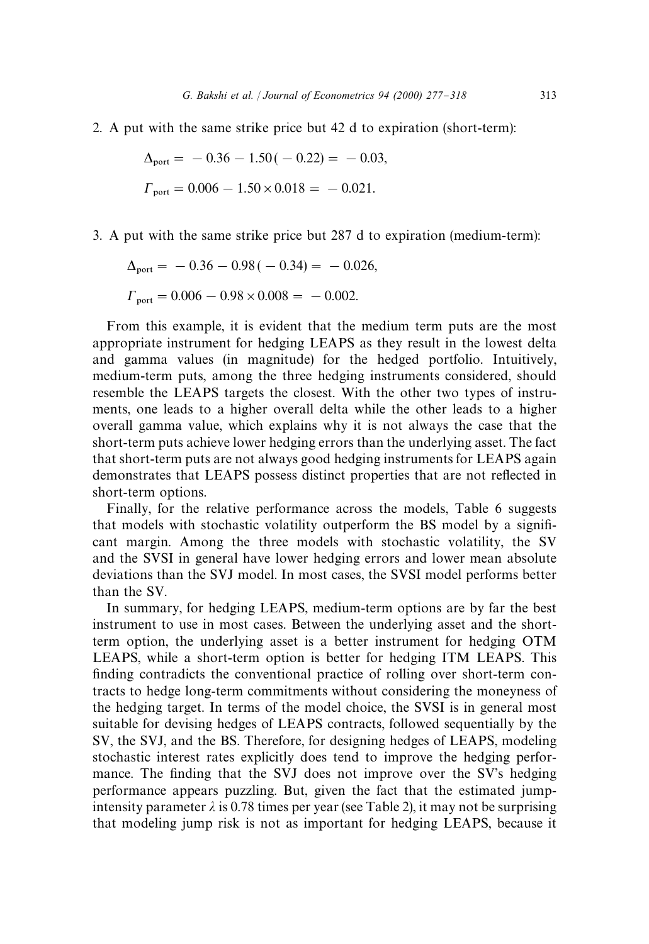2. A put with the same strike price but 42 d to expiration (short-term):

$$
\Delta_{\text{port}} = -0.36 - 1.50(-0.22) = -0.03,
$$
  

$$
\Gamma_{\text{port}} = 0.006 - 1.50 \times 0.018 = -0.021.
$$

3. A put with the same strike price but 287 d to expiration (medium-term):

$$
\Delta_{\text{port}} = -0.36 - 0.98(-0.34) = -0.026,
$$
  

$$
\Gamma_{\text{port}} = 0.006 - 0.98 \times 0.008 = -0.002.
$$

From this example, it is evident that the medium term puts are the most appropriate instrument for hedging LEAPS as they result in the lowest delta and gamma values (in magnitude) for the hedged portfolio. Intuitively, medium-term puts, among the three hedging instruments considered, should resemble the LEAPS targets the closest. With the other two types of instruments, one leads to a higher overall delta while the other leads to a higher overall gamma value, which explains why it is not always the case that the short-term puts achieve lower hedging errors than the underlying asset. The fact that short-term puts are not always good hedging instruments for LEAPS again demonstrates that LEAPS possess distinct properties that are not reflected in short-term options.

Finally, for the relative performance across the models, Table 6 suggests that models with stochastic volatility outperform the BS model by a significant margin. Among the three models with stochastic volatility, the SV and the SVSI in general have lower hedging errors and lower mean absolute deviations than the SVJ model. In most cases, the SVSI model performs better than the SV.

In summary, for hedging LEAPS, medium-term options are by far the best instrument to use in most cases. Between the underlying asset and the shortterm option, the underlying asset is a better instrument for hedging OTM LEAPS, while a short-term option is better for hedging ITM LEAPS. This finding contradicts the conventional practice of rolling over short-term contracts to hedge long-term commitments without considering the moneyness of the hedging target. In terms of the model choice, the SVSI is in general most suitable for devising hedges of LEAPS contracts, followed sequentially by the SV, the SVJ, and the BS. Therefore, for designing hedges of LEAPS, modeling stochastic interest rates explicitly does tend to improve the hedging performance. The finding that the SVJ does not improve over the SV's hedging performance appears puzzling. But, given the fact that the estimated jumpintensity parameter  $\lambda$  is 0.78 times per year (see Table 2), it may not be surprising that modeling jump risk is not as important for hedging LEAPS, because it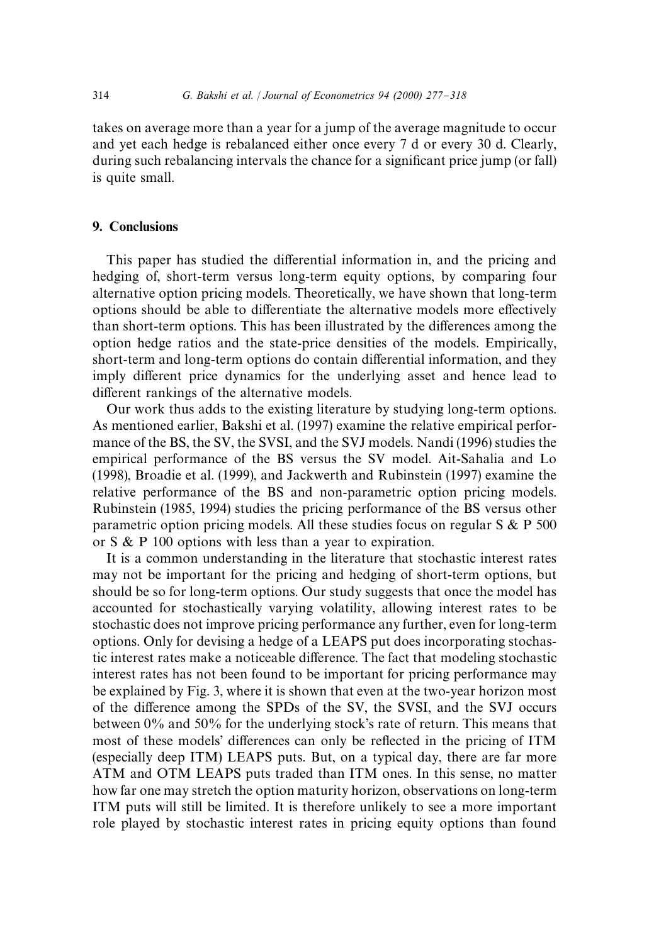takes on average more than a year for a jump of the average magnitude to occur and yet each hedge is rebalanced either once every 7 d or every 30 d. Clearly, during such rebalancing intervals the chance for a significant price jump (or fall) is quite small.

#### 9. Conclusions

This paper has studied the differential information in, and the pricing and hedging of, short-term versus long-term equity options, by comparing four alternative option pricing models. Theoretically, we have shown that long-term options should be able to differentiate the alternative models more effectively than short-term options. This has been illustrated by the differences among the option hedge ratios and the state-price densities of the models. Empirically, short-term and long-term options do contain differential information, and they imply different price dynamics for the underlying asset and hence lead to different rankings of the alternative models.

Our work thus adds to the existing literature by studying long-term options. As mentioned earlier, Bakshi et al. (1997) examine the relative empirical performance of the BS, the SV, the SVSI, and the SVJ models. Nandi (1996) studies the empirical performance of the BS versus the SV model. Ait-Sahalia and Lo (1998), Broadie et al. (1999), and Jackwerth and Rubinstein (1997) examine the relative performance of the BS and non-parametric option pricing models. Rubinstein (1985, 1994) studies the pricing performance of the BS versus other parametric option pricing models. All these studies focus on regular S & P 500 or S & P 100 options with less than a year to expiration.

It is a common understanding in the literature that stochastic interest rates may not be important for the pricing and hedging of short-term options, but should be so for long-term options. Our study suggests that once the model has accounted for stochastically varying volatility, allowing interest rates to be stochastic does not improve pricing performance any further, even for long-term options. Only for devising a hedge of a LEAPS put does incorporating stochastic interest rates make a noticeable difference. The fact that modeling stochastic interest rates has not been found to be important for pricing performance may be explained by Fig. 3, where it is shown that even at the two-year horizon most of the difference among the SPDs of the SV, the SVSI, and the SVJ occurs between 0% and 50% for the underlying stock's rate of return. This means that most of these models' differences can only be reflected in the pricing of ITM (especially deep ITM) LEAPS puts. But, on a typical day, there are far more ATM and OTM LEAPS puts traded than ITM ones. In this sense, no matter how far one may stretch the option maturity horizon, observations on long-term ITM puts will still be limited. It is therefore unlikely to see a more important role played by stochastic interest rates in pricing equity options than found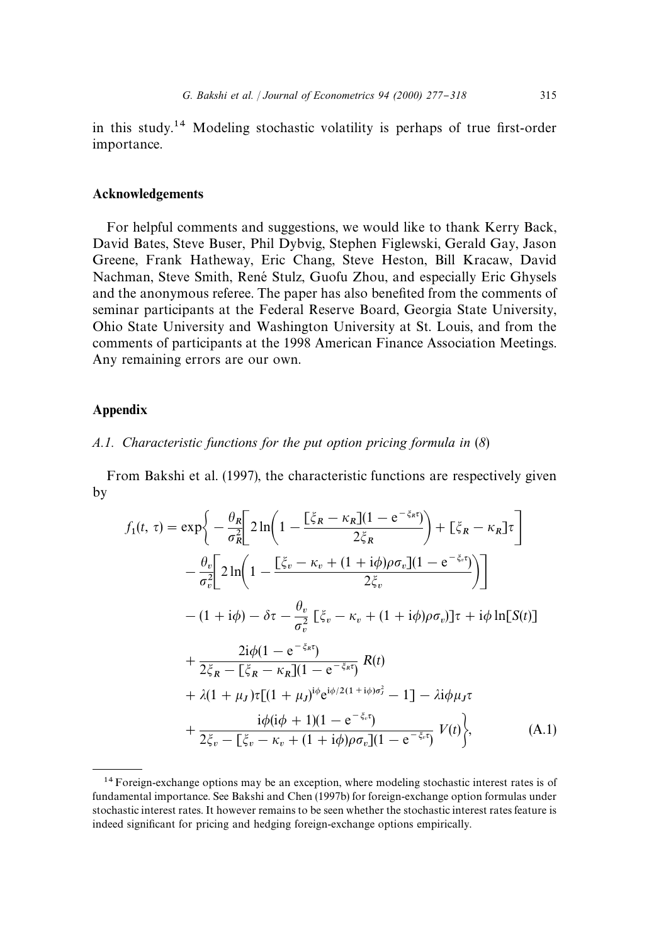in this study.<sup>14</sup> Modeling stochastic volatility is perhaps of true first-order importance.

#### Acknowledgements

For helpful comments and suggestions, we would like to thank Kerry Back, David Bates, Steve Buser, Phil Dybvig, Stephen Figlewski, Gerald Gay, Jason Greene, Frank Hatheway, Eric Chang, Steve Heston, Bill Kracaw, David Nachman, Steve Smith, René Stulz, Guofu Zhou, and especially Eric Ghysels and the anonymous referee. The paper has also benefited from the comments of seminar participants at the Federal Reserve Board, Georgia State University, Ohio State University and Washington University at St. Louis, and from the comments of participants at the 1998 American Finance Association Meetings. Any remaining errors are our own.

#### Appendix

## *A.1. Characteristic functions for the put option pricing formula in* (*8*)

From Bakshi et al. (1997), the characteristic functions are respectively given by

$$
f_1(t, \tau) = \exp\left\{-\frac{\theta_R}{\sigma_R^2} \left[2\ln\left(1 - \frac{[\xi_R - \kappa_R](1 - e^{-\xi_R t})}{2\xi_R}\right) + [\xi_R - \kappa_R]\tau\right] - \frac{\theta_v}{\sigma_v^2} \left[2\ln\left(1 - \frac{[\xi_v - \kappa_v + (1 + i\phi)\rho\sigma_v](1 - e^{-\xi_v t})}{2\xi_v}\right)\right] - (1 + i\phi) - \delta\tau - \frac{\theta_v}{\sigma_v^2} [\xi_v - \kappa_v + (1 + i\phi)\rho\sigma_v)]\tau + i\phi \ln[S(t)] + \frac{2i\phi(1 - e^{-\xi_k t})}{2\xi_R - [\xi_R - \kappa_R](1 - e^{-\xi_k t})} R(t) + \lambda(1 + \mu_J)\tau[(1 + \mu_J)^{i\phi}e^{i\phi/2(1 + i\phi)\sigma_v^2} - 1] - \lambda i\phi\mu_J\tau + \frac{i\phi(i\phi + 1)(1 - e^{-\xi_v t})}{2\xi_v - [\xi_v - \kappa_v + (1 + i\phi)\rho\sigma_v](1 - e^{-\xi_v t})} V(t)\right\}, \tag{A.1}
$$

<sup>&</sup>lt;sup>14</sup> Foreign-exchange options may be an exception, where modeling stochastic interest rates is of fundamental importance. See Bakshi and Chen (1997b) for foreign-exchange option formulas under stochastic interest rates. It however remains to be seen whether the stochastic interest rates feature is indeed significant for pricing and hedging foreign-exchange options empirically.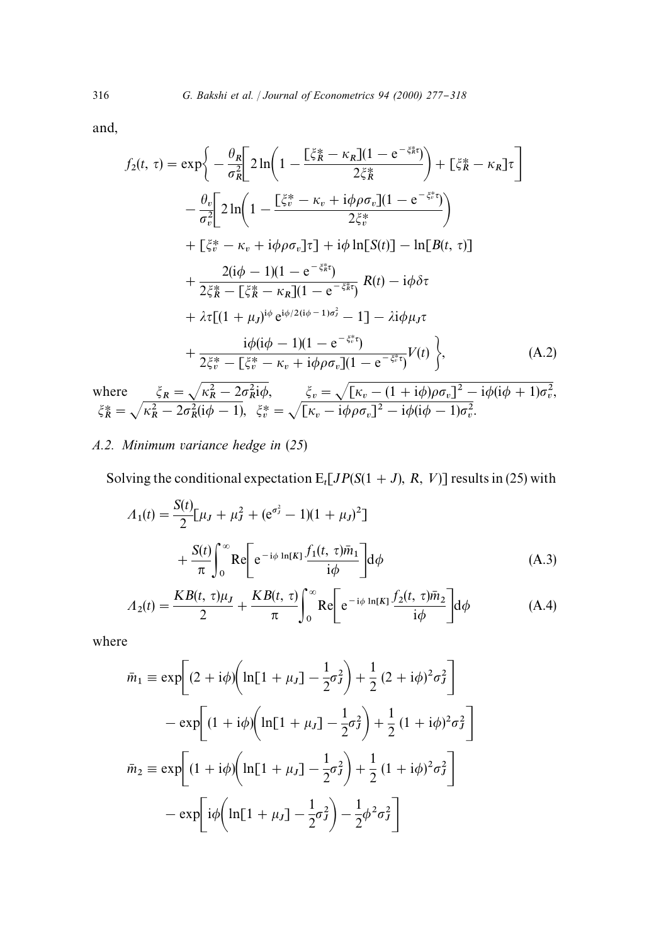and,

$$
f_2(t, \tau) = \exp\left\{-\frac{\theta_R}{\sigma_R^2} \left[2\ln\left(1 - \frac{[\xi_0^* - \kappa_R](1 - e^{-\xi_0^* \tau})}{2\xi_R^*}\right) + [\xi_0^* - \kappa_R]\tau\right] - \frac{\theta_v}{\sigma_v^2} \left[2\ln\left(1 - \frac{[\xi_0^* - \kappa_v + i\phi \rho \sigma_v](1 - e^{-\xi_0^* \tau})}{2\xi_v^*}\right) + [\xi_0^* - \kappa_v + i\phi \rho \sigma_v]\tau\right] + i\phi \ln[S(t)] - \ln[B(t, \tau)] + \frac{2(i\phi - 1)(1 - e^{-\xi_0^* \tau})}{2\xi_R^* - [\xi_0^* - \kappa_R](1 - e^{-\xi_0^* \tau})} R(t) - i\phi \delta\tau + \lambda \tau [(1 + \mu_J)^{i\phi} e^{i\phi/2(i\phi - 1)\sigma_J^2} - 1] - \lambda i\phi \mu_J \tau + \frac{i\phi(i\phi - 1)(1 - e^{-\xi_0^* \tau})}{2\xi_v^* - [\xi_0^* - \kappa_v + i\phi \rho \sigma_v](1 - e^{-\xi_0^* \tau})} V(t) \left.\right\}, \qquad (A.2)
$$

where  $\xi_R = \sqrt{\kappa_R^2 - 2\sigma_R^2}i\phi$ ,  $\xi_v = \sqrt{[\kappa_v - (1 + i\phi)\rho\sigma_v]^2 - i\phi(i\phi + 1)\sigma_v^2}$ ,  $\zeta_R^* = \sqrt{\kappa_R^2 - 2\sigma_R^2(i\phi - 1)}, \ \ \zeta_v^* = \sqrt{[\kappa_v - i\phi\rho\sigma_v]^2 - i\phi(i\phi - 1)\sigma_v^2}.$ 

# *A.2. Minimum variance hedge in* (*25*)

Solving the conditional expectation  $E_t[JP(S(1 + J), R, V)]$  results in (25) with

$$
A_1(t) = \frac{S(t)}{2} [\mu_J + \mu_J^2 + (e^{\sigma_J^2} - 1)(1 + \mu_J)^2]
$$
  
+ 
$$
\frac{S(t)}{\pi} \int_0^\infty \text{Re} \left[ e^{-i\phi \ln[K]} \frac{f_1(t, \tau)\bar{m}_1}{i\phi} \right] d\phi
$$
 (A.3)  

$$
A_2(t) = \frac{KB(t, \tau)\mu_J}{2} + \frac{KB(t, \tau)}{\pi} \int_0^\infty \text{Re} \left[ e^{-i\phi \ln[K]} \frac{f_2(t, \tau)\bar{m}_2}{i\phi} \right] d\phi
$$
 (A.4)

where

$$
\bar{m}_1 \equiv \exp\left[ (2 + i\phi) \left( \ln[1 + \mu_J] - \frac{1}{2} \sigma_J^2 \right) + \frac{1}{2} (2 + i\phi)^2 \sigma_J^2 \right] \n- \exp\left[ (1 + i\phi) \left( \ln[1 + \mu_J] - \frac{1}{2} \sigma_J^2 \right) + \frac{1}{2} (1 + i\phi)^2 \sigma_J^2 \right] \n\bar{m}_2 \equiv \exp\left[ (1 + i\phi) \left( \ln[1 + \mu_J] - \frac{1}{2} \sigma_J^2 \right) + \frac{1}{2} (1 + i\phi)^2 \sigma_J^2 \right] \n- \exp\left[ i\phi \left( \ln[1 + \mu_J] - \frac{1}{2} \sigma_J^2 \right) - \frac{1}{2} \phi^2 \sigma_J^2 \right]
$$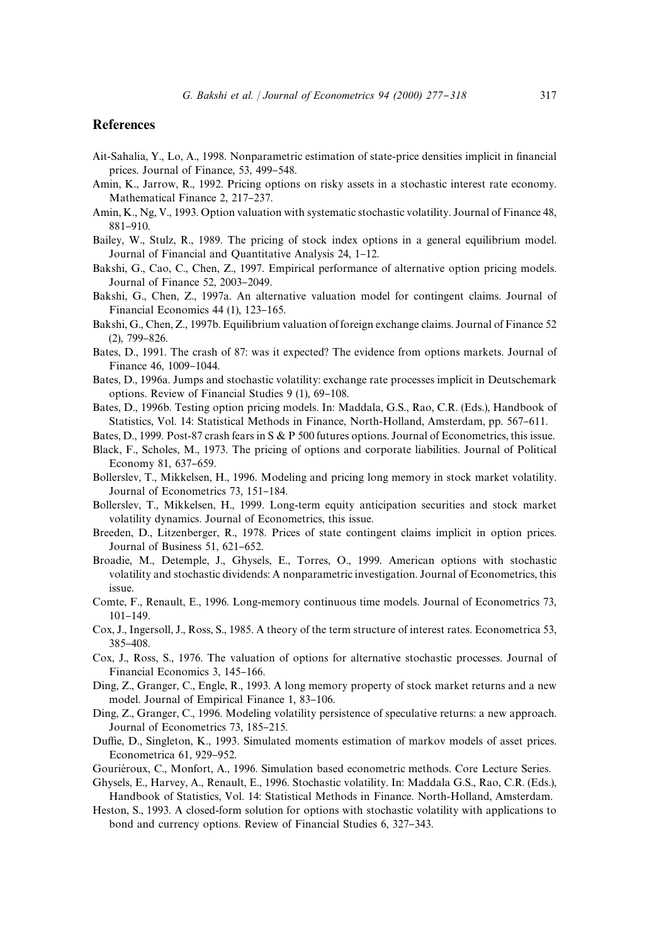#### References

- Ait-Sahalia, Y., Lo, A., 1998. Nonparametric estimation of state-price densities implicit in "nancial prices. Journal of Finance, 53, 499-548.
- Amin, K., Jarrow, R., 1992. Pricing options on risky assets in a stochastic interest rate economy. Mathematical Finance 2, 217-237.
- Amin, K., Ng, V., 1993. Option valuation with systematic stochastic volatility. Journal of Finance 48, 881-910.
- Bailey, W., Stulz, R., 1989. The pricing of stock index options in a general equilibrium model. Journal of Financial and Quantitative Analysis 24, 1-12.
- Bakshi, G., Cao, C., Chen, Z., 1997. Empirical performance of alternative option pricing models. Journal of Finance 52, 2003-2049.
- Bakshi, G., Chen, Z., 1997a. An alternative valuation model for contingent claims. Journal of Financial Economics  $44$  (1),  $123-165$ .
- Bakshi, G., Chen, Z., 1997b. Equilibrium valuation of foreign exchange claims. Journal of Finance 52  $(2)$ , 799-826.
- Bates, D., 1991. The crash of 87: was it expected? The evidence from options markets. Journal of Finance 46, 1009-1044.
- Bates, D., 1996a. Jumps and stochastic volatility: exchange rate processes implicit in Deutschemark options. Review of Financial Studies  $9(1)$ ,  $69-108$ .
- Bates, D., 1996b. Testing option pricing models. In: Maddala, G.S., Rao, C.R. (Eds.), Handbook of Statistics, Vol. 14: Statistical Methods in Finance, North-Holland, Amsterdam, pp. 567–611.
- Bates, D., 1999. Post-87 crash fears in S & P 500 futures options. Journal of Econometrics, this issue.
- Black, F., Scholes, M., 1973. The pricing of options and corporate liabilities. Journal of Political Economy 81, 637-659.
- Bollerslev, T., Mikkelsen, H., 1996. Modeling and pricing long memory in stock market volatility. Journal of Econometrics 73, 151-184.
- Bollerslev, T., Mikkelsen, H., 1999. Long-term equity anticipation securities and stock market volatility dynamics. Journal of Econometrics, this issue.
- Breeden, D., Litzenberger, R., 1978. Prices of state contingent claims implicit in option prices. Journal of Business  $51, 621-652$ .
- Broadie, M., Detemple, J., Ghysels, E., Torres, O., 1999. American options with stochastic volatility and stochastic dividends: A nonparametric investigation. Journal of Econometrics, this issue.
- Comte, F., Renault, E., 1996. Long-memory continuous time models. Journal of Econometrics 73,  $101 - 149.$
- Cox, J., Ingersoll, J., Ross, S., 1985. A theory of the term structure of interest rates. Econometrica 53, 385-408.
- Cox, J., Ross, S., 1976. The valuation of options for alternative stochastic processes. Journal of Financial Economics 3, 145-166.
- Ding, Z., Granger, C., Engle, R., 1993. A long memory property of stock market returns and a new model. Journal of Empirical Finance 1, 83-106.
- Ding, Z., Granger, C., 1996. Modeling volatility persistence of speculative returns: a new approach. Journal of Econometrics 73, 185-215.
- Duffie, D., Singleton, K., 1993. Simulated moments estimation of markov models of asset prices. Econometrica 61, 929-952.
- Gouriéroux, C., Monfort, A., 1996. Simulation based econometric methods. Core Lecture Series.
- Ghysels, E., Harvey, A., Renault, E., 1996. Stochastic volatility. In: Maddala G.S., Rao, C.R. (Eds.), Handbook of Statistics, Vol. 14: Statistical Methods in Finance. North-Holland, Amsterdam.
- Heston, S., 1993. A closed-form solution for options with stochastic volatility with applications to bond and currency options. Review of Financial Studies 6, 327–343.